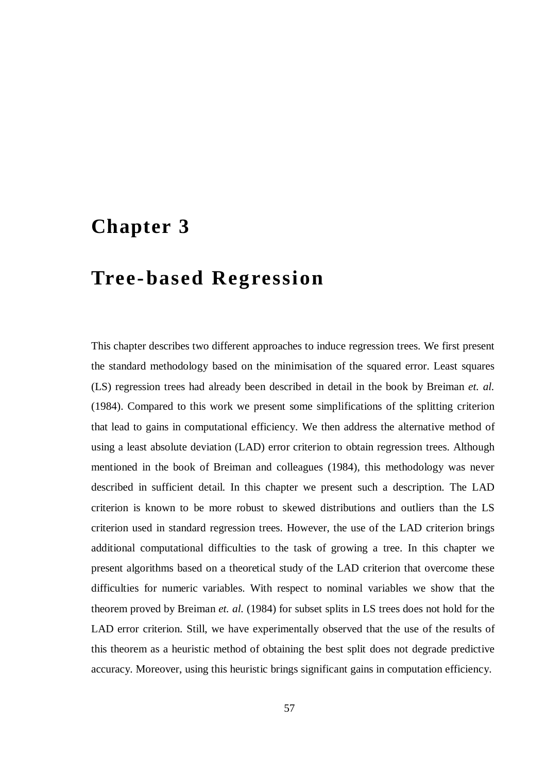# **Chapter 3**

# **Tree-based Regression**

This chapter describes two different approaches to induce regression trees. We first present the standard methodology based on the minimisation of the squared error. Least squares (LS) regression trees had already been described in detail in the book by Breiman *et. al.* (1984). Compared to this work we present some simplifications of the splitting criterion that lead to gains in computational efficiency. We then address the alternative method of using a least absolute deviation (LAD) error criterion to obtain regression trees. Although mentioned in the book of Breiman and colleagues (1984), this methodology was never described in sufficient detail. In this chapter we present such a description. The LAD criterion is known to be more robust to skewed distributions and outliers than the LS criterion used in standard regression trees. However, the use of the LAD criterion brings additional computational difficulties to the task of growing a tree. In this chapter we present algorithms based on a theoretical study of the LAD criterion that overcome these difficulties for numeric variables. With respect to nominal variables we show that the theorem proved by Breiman *et. al.* (1984) for subset splits in LS trees does not hold for the LAD error criterion. Still, we have experimentally observed that the use of the results of this theorem as a heuristic method of obtaining the best split does not degrade predictive accuracy. Moreover, using this heuristic brings significant gains in computation efficiency.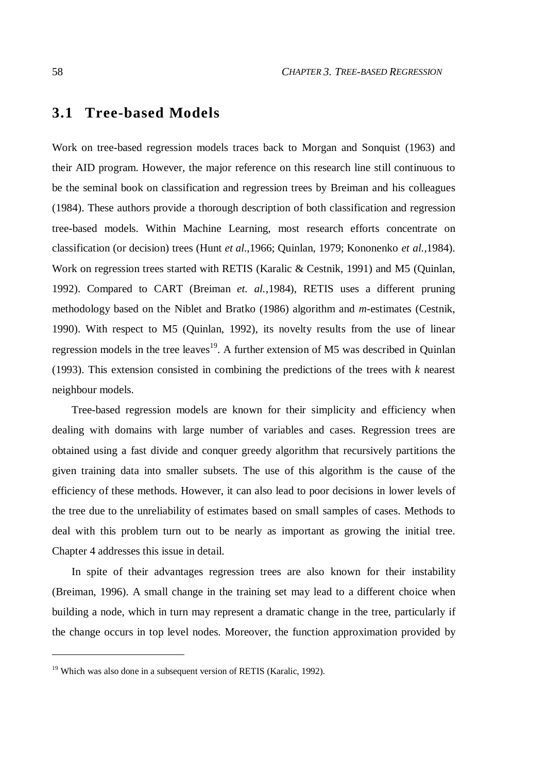# **3.1 Tree-based Models**

Work on tree-based regression models traces back to Morgan and Sonquist (1963) and their AID program. However, the major reference on this research line still continuous to be the seminal book on classification and regression trees by Breiman and his colleagues (1984). These authors provide a thorough description of both classification and regression tree-based models. Within Machine Learning, most research efforts concentrate on classification (or decision) trees (Hunt *et al.*,1966; Quinlan, 1979; Kononenko *et al.*,1984). Work on regression trees started with RETIS (Karalic & Cestnik, 1991) and M5 (Quinlan, 1992). Compared to CART (Breiman *et. al.*,1984), RETIS uses a different pruning methodology based on the Niblet and Bratko (1986) algorithm and *m*-estimates (Cestnik, 1990). With respect to M5 (Quinlan, 1992), its novelty results from the use of linear regression models in the tree leaves<sup>19</sup>. A further extension of M5 was described in Quinlan (1993). This extension consisted in combining the predictions of the trees with *k* nearest neighbour models.

Tree-based regression models are known for their simplicity and efficiency when dealing with domains with large number of variables and cases. Regression trees are obtained using a fast divide and conquer greedy algorithm that recursively partitions the given training data into smaller subsets. The use of this algorithm is the cause of the efficiency of these methods. However, it can also lead to poor decisions in lower levels of the tree due to the unreliability of estimates based on small samples of cases. Methods to deal with this problem turn out to be nearly as important as growing the initial tree. Chapter 4 addresses this issue in detail.

In spite of their advantages regression trees are also known for their instability (Breiman, 1996). A small change in the training set may lead to a different choice when building a node, which in turn may represent a dramatic change in the tree, particularly if the change occurs in top level nodes. Moreover, the function approximation provided by

 $\overline{a}$ 

 $19$  Which was also done in a subsequent version of RETIS (Karalic, 1992).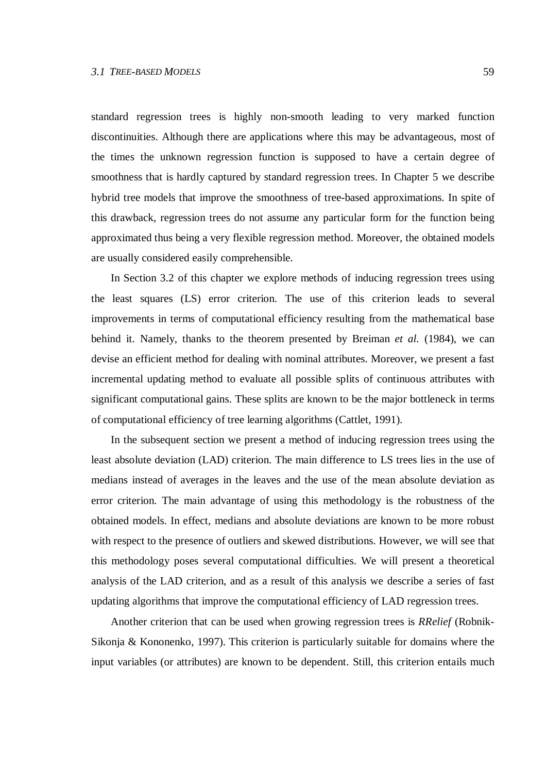standard regression trees is highly non-smooth leading to very marked function discontinuities. Although there are applications where this may be advantageous, most of the times the unknown regression function is supposed to have a certain degree of smoothness that is hardly captured by standard regression trees. In Chapter 5 we describe hybrid tree models that improve the smoothness of tree-based approximations. In spite of this drawback, regression trees do not assume any particular form for the function being approximated thus being a very flexible regression method. Moreover, the obtained models are usually considered easily comprehensible.

In Section 3.2 of this chapter we explore methods of inducing regression trees using the least squares (LS) error criterion. The use of this criterion leads to several improvements in terms of computational efficiency resulting from the mathematical base behind it. Namely, thanks to the theorem presented by Breiman *et al.* (1984), we can devise an efficient method for dealing with nominal attributes. Moreover, we present a fast incremental updating method to evaluate all possible splits of continuous attributes with significant computational gains. These splits are known to be the major bottleneck in terms of computational efficiency of tree learning algorithms (Cattlet, 1991).

In the subsequent section we present a method of inducing regression trees using the least absolute deviation (LAD) criterion. The main difference to LS trees lies in the use of medians instead of averages in the leaves and the use of the mean absolute deviation as error criterion. The main advantage of using this methodology is the robustness of the obtained models. In effect, medians and absolute deviations are known to be more robust with respect to the presence of outliers and skewed distributions. However, we will see that this methodology poses several computational difficulties. We will present a theoretical analysis of the LAD criterion, and as a result of this analysis we describe a series of fast updating algorithms that improve the computational efficiency of LAD regression trees.

Another criterion that can be used when growing regression trees is *RRelief* (Robnik-Sikonja & Kononenko, 1997). This criterion is particularly suitable for domains where the input variables (or attributes) are known to be dependent. Still, this criterion entails much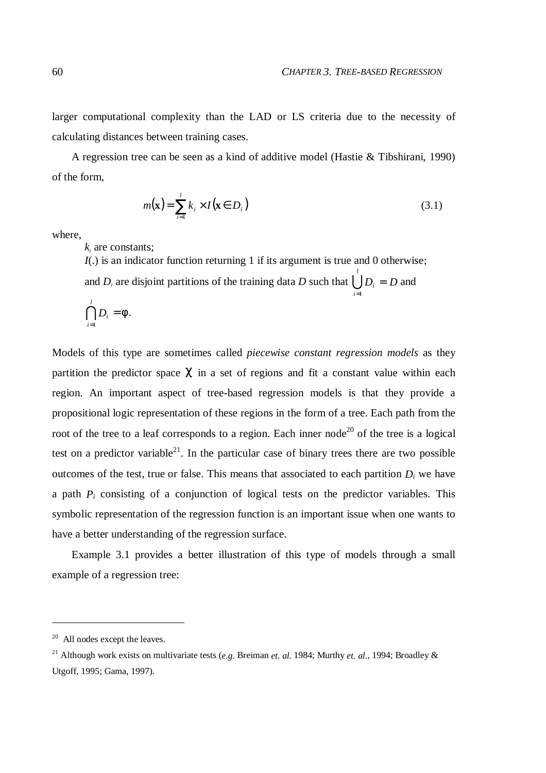larger computational complexity than the LAD or LS criteria due to the necessity of calculating distances between training cases.

A regression tree can be seen as a kind of additive model (Hastie & Tibshirani, 1990) of the form,

$$
m(\mathbf{x}) = \sum_{i=1}^{l} k_i \times I(\mathbf{x} \in D_i)
$$
\n(3.1)

where,

*k<sup>i</sup>* are constants;

*I*(.) is an indicator function returning 1 if its argument is true and 0 otherwise;

and  $D_i$  are disjoint partitions of the training data D such that  $\bigcup_{i=1}^{l} D_i = D$  and *i*  $D_i = D$  and  $=1$ 

$$
\bigcap_{i=1}^l D_i = \emptyset.
$$

Models of this type are sometimes called *piecewise constant regression models* as they partition the predictor space  $\chi$  in a set of regions and fit a constant value within each region. An important aspect of tree-based regression models is that they provide a propositional logic representation of these regions in the form of a tree. Each path from the root of the tree to a leaf corresponds to a region. Each inner node<sup>20</sup> of the tree is a logical test on a predictor variable<sup>21</sup>. In the particular case of binary trees there are two possible outcomes of the test, true or false. This means that associated to each partition  $D_i$  we have a path *P<sup>i</sup>* consisting of a conjunction of logical tests on the predictor variables. This symbolic representation of the regression function is an important issue when one wants to have a better understanding of the regression surface.

Example 3.1 provides a better illustration of this type of models through a small example of a regression tree:

 $\overline{a}$ 

 $20$  All nodes except the leaves.

<sup>&</sup>lt;sup>21</sup> Although work exists on multivariate tests (*e.g.* Breiman *et. al.* 1984; Murthy *et. al.*, 1994; Broadley & Utgoff, 1995; Gama, 1997).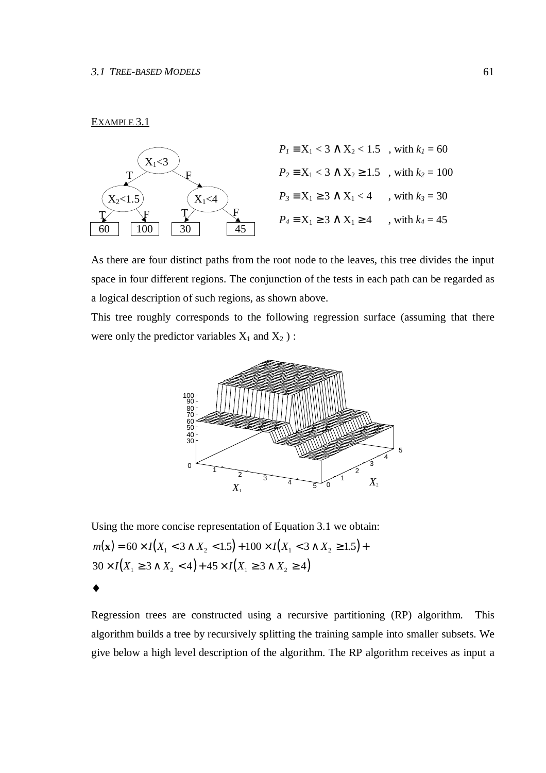#### EXAMPLE 3.1



As there are four distinct paths from the root node to the leaves, this tree divides the input space in four different regions. The conjunction of the tests in each path can be regarded as a logical description of such regions, as shown above.

This tree roughly corresponds to the following regression surface (assuming that there were only the predictor variables  $X_1$  and  $X_2$ ):



Using the more concise representation of Equation 3.1 we obtain:  $m(\mathbf{x}) = 60 \times I(X_1 < 3 \wedge X_2 < 1.5) + 100 \times I(X_1 < 3 \wedge X_2 \ge 1.5) +$  $30 \times I(X_1 \geq 3 \land X_2 < 4) + 45 \times I(X_1 \geq 3 \land X_2 \geq 4)$ ♦

Regression trees are constructed using a recursive partitioning (RP) algorithm. This algorithm builds a tree by recursively splitting the training sample into smaller subsets. We give below a high level description of the algorithm. The RP algorithm receives as input a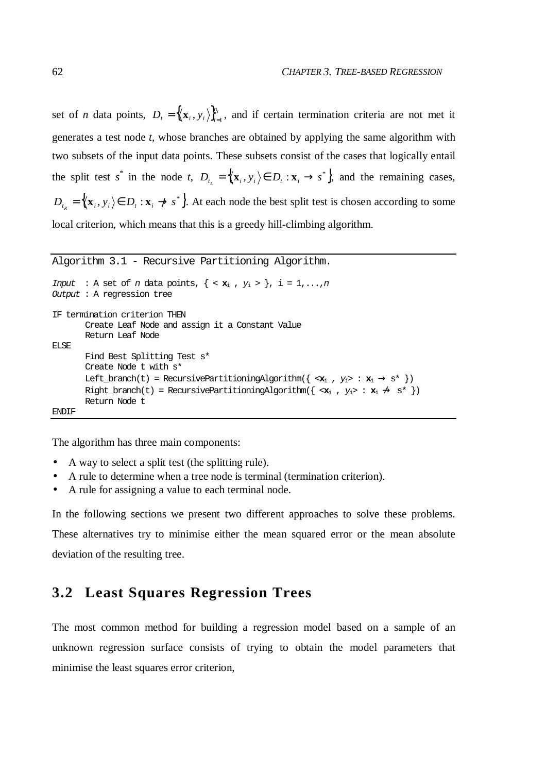set of *n* data points,  $D_t = \{(\mathbf{x}_i, y_i)\}_{i=1}^{n_t}$  $D_t = \langle \langle \mathbf{x}_i, y_i \rangle \rangle_{i=1}^{t_i}$ , and if certain termination criteria are not met it generates a test node *t*, whose branches are obtained by applying the same algorithm with two subsets of the input data points. These subsets consist of the cases that logically entail the split test *s*<sup>\*</sup> in the node *t*,  $D_{t_i} = \{ (x_i, y_i) \in D_t : x_i \to s^* \}$ , and the remaining cases,  $D_{t_R} = \{ (x_i, y_i) \in D_t : x_i \to s^* \}$ . At each node the best split test is chosen according to some local criterion, which means that this is a greedy hill-climbing algorithm.

```
Algorithm 3.1 - Recursive Partitioning Algorithm.
Input : A set of n data points, \{ < \mathbf{x}_i, y_i > \}, i = 1,..., n
Output : A regression tree
IF termination criterion THEN
        Create Leaf Node and assign it a Constant Value
        Return Leaf Node
ELSE
        Find Best Splitting Test s*
        Create Node t with s*
        Left_branch(t) = RecursivePartitioningAlgorithm(\{ \langle x_i, y_i \rangle : x_i \rightarrow s^* \})
        Right_branch(t) = RecursivePartitioningAlgorithm({\langle x_i, y_i \rangle : x_i \nrightarrow s^* })
        Return Node t
```
ENDIF

The algorithm has three main components:

- A way to select a split test (the splitting rule).
- A rule to determine when a tree node is terminal (termination criterion).
- A rule for assigning a value to each terminal node.

In the following sections we present two different approaches to solve these problems. These alternatives try to minimise either the mean squared error or the mean absolute deviation of the resulting tree.

# **3.2 Least Squares Regression Trees**

The most common method for building a regression model based on a sample of an unknown regression surface consists of trying to obtain the model parameters that minimise the least squares error criterion,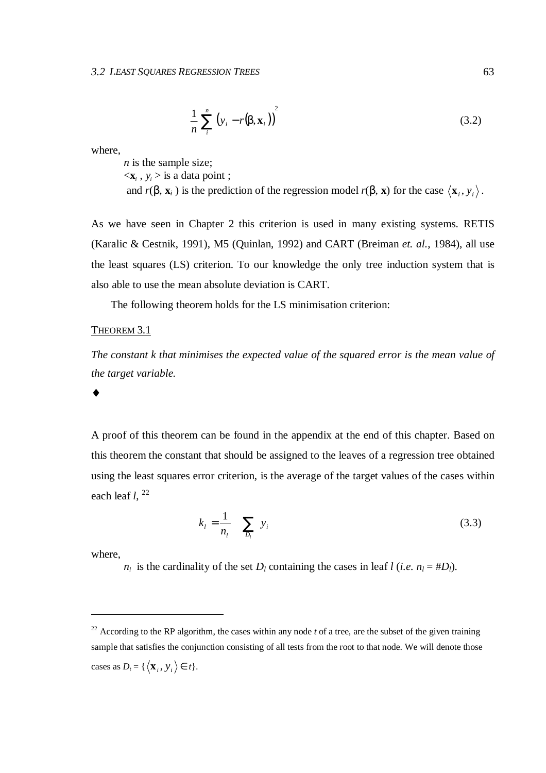$$
\frac{1}{n}\sum_{i}^{n}\left(y_{i}-r(\beta,\mathbf{x}_{i})\right)^{2} \tag{3.2}
$$

where,

*n* is the sample size;  $\langle \mathbf{x}_i, y_i \rangle$  is a data point ; and  $r(\beta, \mathbf{x}_i)$  is the prediction of the regression model  $r(\beta, \mathbf{x})$  for the case  $\langle \mathbf{x}_i, y_i \rangle$ .

As we have seen in Chapter 2 this criterion is used in many existing systems. RETIS (Karalic & Cestnik, 1991), M5 (Quinlan, 1992) and CART (Breiman *et. al.*, 1984), all use the least squares (LS) criterion. To our knowledge the only tree induction system that is also able to use the mean absolute deviation is CART.

The following theorem holds for the LS minimisation criterion:

## THEOREM 3.1

*The constant k that minimises the expected value of the squared error is the mean value of the target variable.*

#### ♦

A proof of this theorem can be found in the appendix at the end of this chapter. Based on this theorem the constant that should be assigned to the leaves of a regression tree obtained using the least squares error criterion, is the average of the target values of the cases within each leaf *l*, 22

$$
k_{l} = \frac{1}{n_{l}} \sum_{D_{l}} y_{i}
$$
 (3.3)

where,

 $\overline{a}$ 

 $n_l$  is the cardinality of the set  $D_l$  containing the cases in leaf *l* (*i.e.*  $n_l = #D_l$ ).

<sup>&</sup>lt;sup>22</sup> According to the RP algorithm, the cases within any node  $t$  of a tree, are the subset of the given training sample that satisfies the conjunction consisting of all tests from the root to that node. We will denote those cases as  $D_t = \{ \langle \mathbf{x}_i, y_i \rangle \in t \}.$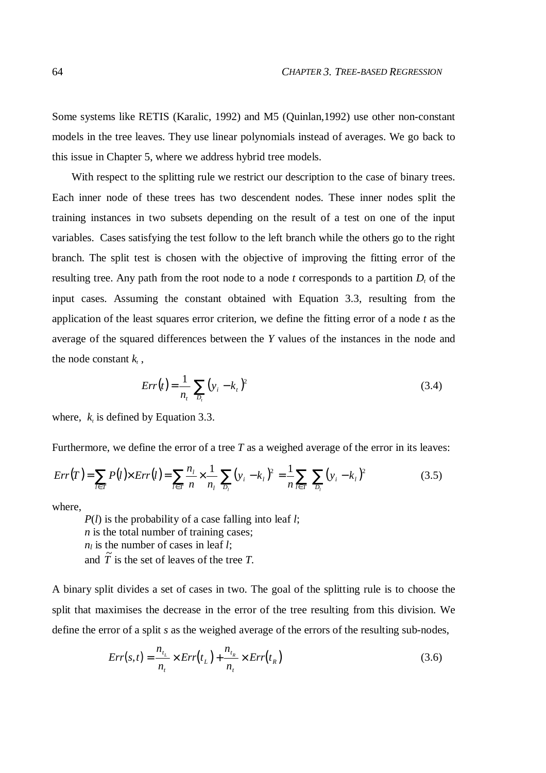Some systems like RETIS (Karalic, 1992) and M5 (Quinlan,1992) use other non-constant models in the tree leaves. They use linear polynomials instead of averages. We go back to this issue in Chapter 5, where we address hybrid tree models.

With respect to the splitting rule we restrict our description to the case of binary trees. Each inner node of these trees has two descendent nodes. These inner nodes split the training instances in two subsets depending on the result of a test on one of the input variables. Cases satisfying the test follow to the left branch while the others go to the right branch. The split test is chosen with the objective of improving the fitting error of the resulting tree. Any path from the root node to a node *t* corresponds to a partition *D<sup>t</sup>* of the input cases. Assuming the constant obtained with Equation 3.3, resulting from the application of the least squares error criterion, we define the fitting error of a node *t* as the average of the squared differences between the *Y* values of the instances in the node and the node constant  $k_{i}$ ,

$$
Err(t) = \frac{1}{n_t} \sum_{D_t} (y_i - k_t)^2
$$
\n(3.4)

where,  $k<sub>t</sub>$  is defined by Equation 3.3.

Furthermore, we define the error of a tree *T* as a weighed average of the error in its leaves:

$$
Err(T) = \sum_{l \in \tilde{T}} P(l) \times Err(l) = \sum_{l \in \tilde{T}} \frac{n_l}{n} \times \frac{1}{n_l} \sum_{D_l} (y_i - k_l)^2 = \frac{1}{n} \sum_{l \in \tilde{T}} \sum_{D_l} (y_i - k_l)^2
$$
(3.5)

where,

*P*(*l*) is the probability of a case falling into leaf *l*; *n* is the total number of training cases;  $n_l$  is the number of cases in leaf *l*; and  $\tilde{T}$  is the set of leaves of the tree *T*.

A binary split divides a set of cases in two. The goal of the splitting rule is to choose the split that maximises the decrease in the error of the tree resulting from this division. We define the error of a split *s* as the weighed average of the errors of the resulting sub-nodes,

$$
Err(s,t) = \frac{n_{t_L}}{n_t} \times Err(t_L) + \frac{n_{t_R}}{n_t} \times Err(t_R)
$$
\n(3.6)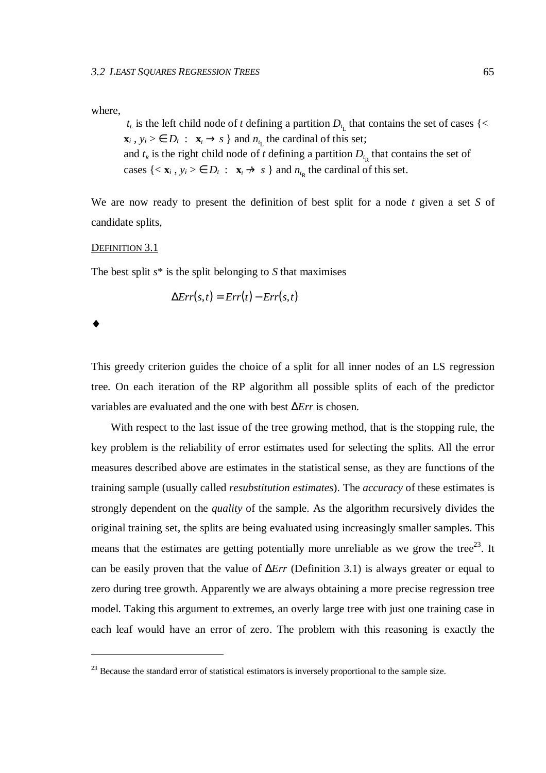where,

 $t_L$  is the left child node of *t* defining a partition  $D_{t_L}$  that contains the set of cases {<  $\mathbf{x}_i$ ,  $y_i > \epsilon$   $D_t$  :  $\mathbf{x}_i \rightarrow s$  } and  $n_{t_L}$  the cardinal of this set; and  $t_R$  is the right child node of *t* defining a partition  $D_{t_R}$  that contains the set of cases  $\{ \langle \mathbf{x}_i, y_i \rangle \in D_t : \mathbf{x}_i \to s \}$  and  $n_{t_R}$  the cardinal of this set.

We are now ready to present the definition of best split for a node *t* given a set *S* of candidate splits,

#### DEFINITION 3.1

The best split *s*\* is the split belonging to *S* that maximises

$$
\Delta Err(s,t) = Err(t) - Err(s,t)
$$

♦

 $\overline{a}$ 

This greedy criterion guides the choice of a split for all inner nodes of an LS regression tree. On each iteration of the RP algorithm all possible splits of each of the predictor variables are evaluated and the one with best ∆*Err* is chosen.

With respect to the last issue of the tree growing method, that is the stopping rule, the key problem is the reliability of error estimates used for selecting the splits. All the error measures described above are estimates in the statistical sense, as they are functions of the training sample (usually called *resubstitution estimates*). The *accuracy* of these estimates is strongly dependent on the *quality* of the sample. As the algorithm recursively divides the original training set, the splits are being evaluated using increasingly smaller samples. This means that the estimates are getting potentially more unreliable as we grow the tree<sup>23</sup>. It can be easily proven that the value of ∆*Err* (Definition 3.1) is always greater or equal to zero during tree growth. Apparently we are always obtaining a more precise regression tree model. Taking this argument to extremes, an overly large tree with just one training case in each leaf would have an error of zero. The problem with this reasoning is exactly the

<sup>&</sup>lt;sup>23</sup> Because the standard error of statistical estimators is inversely proportional to the sample size.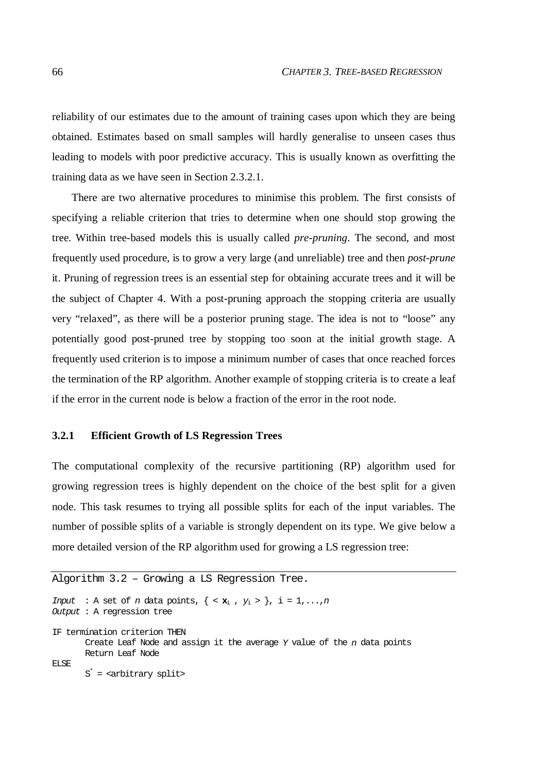reliability of our estimates due to the amount of training cases upon which they are being obtained. Estimates based on small samples will hardly generalise to unseen cases thus leading to models with poor predictive accuracy. This is usually known as overfitting the training data as we have seen in Section 2.3.2.1.

There are two alternative procedures to minimise this problem. The first consists of specifying a reliable criterion that tries to determine when one should stop growing the tree. Within tree-based models this is usually called *pre-pruning*. The second, and most frequently used procedure, is to grow a very large (and unreliable) tree and then *post-prune* it. Pruning of regression trees is an essential step for obtaining accurate trees and it will be the subject of Chapter 4. With a post-pruning approach the stopping criteria are usually very "relaxed", as there will be a posterior pruning stage. The idea is not to "loose" any potentially good post-pruned tree by stopping too soon at the initial growth stage. A frequently used criterion is to impose a minimum number of cases that once reached forces the termination of the RP algorithm. Another example of stopping criteria is to create a leaf if the error in the current node is below a fraction of the error in the root node.

#### **3.2.1 Efficient Growth of LS Regression Trees**

The computational complexity of the recursive partitioning (RP) algorithm used for growing regression trees is highly dependent on the choice of the best split for a given node. This task resumes to trying all possible splits for each of the input variables. The number of possible splits of a variable is strongly dependent on its type. We give below a more detailed version of the RP algorithm used for growing a LS regression tree:

```
Algorithm 3.2 – Growing a LS Regression Tree.
Input : A set of n data points, \{ \langle \mathbf{x}_i, y_i \rangle \}, i = 1, ..., nOutput : A regression tree
IF termination criterion THEN
       Create Leaf Node and assign it the average Y value of the n data points
       Return Leaf Node
ELSE.
       S
* = <arbitrary split>
```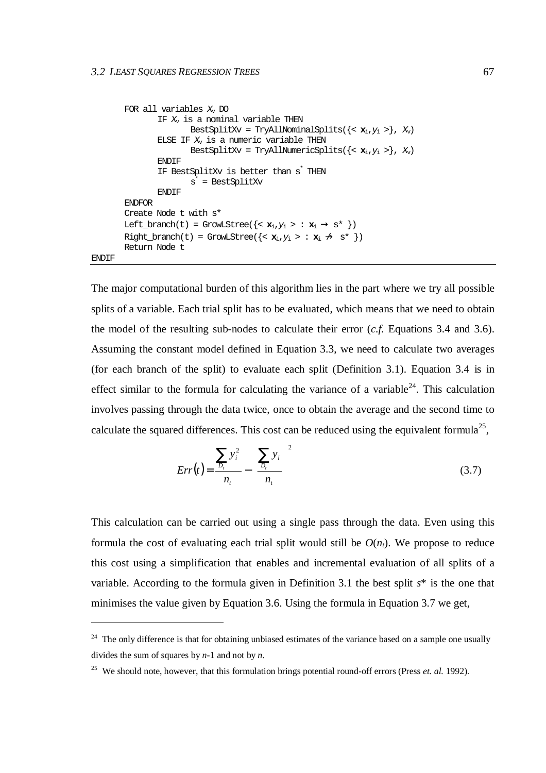$\overline{a}$ 

```
FOR all variables X_v DO
                   IF X_v is a nominal variable THEN
                             BestSplitXv = TryAllNominalSplits(\{<\mathbf{x}_i,y_i>\}, X<sub>v</sub>)
                   ELSE IF X_v is a numeric variable THEN
                             BestSplitXv = TryAllNumericSplits(\{ < \mathbf{x}_i, y_i > \}, X_v)
                   ENDIF
                   IF BestSplitXv is better than s
* THEN
                             s
* = BestSplitXv
                   ENDIF
         ENDFOR
         Create Node t with s*
         \text{Left\_branch}(t) = \text{Grow\_Steve}(\{<\mathbf{x}_i, y_i > \text{: } \mathbf{x}_i \rightarrow s^* \})Right branch(t) = GrowLStree({< \mathbf{x}_i, y_i > : \mathbf{x}_i \nrightarrow s^* })
         Return Node t
ENDIF
```
The major computational burden of this algorithm lies in the part where we try all possible splits of a variable. Each trial split has to be evaluated, which means that we need to obtain the model of the resulting sub-nodes to calculate their error (*c.f.* Equations 3.4 and 3.6). Assuming the constant model defined in Equation 3.3, we need to calculate two averages (for each branch of the split) to evaluate each split (Definition 3.1). Equation 3.4 is in effect similar to the formula for calculating the variance of a variable<sup>24</sup>. This calculation involves passing through the data twice, once to obtain the average and the second time to calculate the squared differences. This cost can be reduced using the equivalent formula<sup>25</sup>,

$$
Err(t) = \frac{\sum_{p_i} y_i^2}{n_t} - \left(\frac{\sum_{p_i} y_i}{n_t}\right)^2 \tag{3.7}
$$

This calculation can be carried out using a single pass through the data. Even using this formula the cost of evaluating each trial split would still be  $O(n_t)$ . We propose to reduce this cost using a simplification that enables and incremental evaluation of all splits of a variable. According to the formula given in Definition 3.1 the best split *s*\* is the one that minimises the value given by Equation 3.6. Using the formula in Equation 3.7 we get,

<sup>&</sup>lt;sup>24</sup> The only difference is that for obtaining unbiased estimates of the variance based on a sample one usually divides the sum of squares by *n*-1 and not by *n*.

<sup>&</sup>lt;sup>25</sup> We should note, however, that this formulation brings potential round-off errors (Press *et. al.* 1992).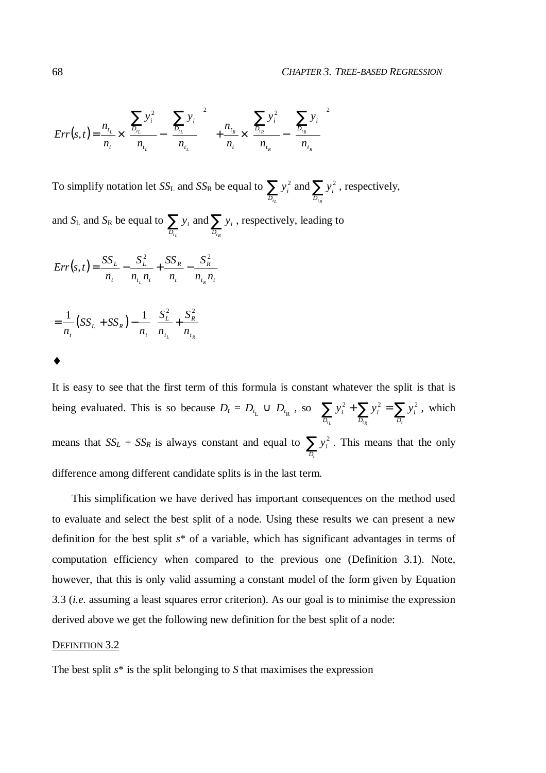$$
Err(s,t) = \frac{n_{t_L}}{n_t} \times \left( \frac{\sum_{D_{t_L}} y_i^2}{n_{t_L}} - \left( \frac{\sum_{D_{t_L}} y_i}{n_{t_L}} \right)^2 \right) + \frac{n_{t_R}}{n_t} \times \left( \frac{\sum_{D_{t_R}} y_i^2}{n_{t_R}} - \left( \frac{\sum_{D_{t_R}} y_i}{n_{t_R}} \right)^2 \right)
$$

To simplify notation let *SS*<sub>L</sub> and *SS*<sub>R</sub> be equal to  $\sum y_i^2$  and  $\sum$  $D_{t_R}$ *i D*  $y_i^2$  and  $\sum y_i^2$ , respectively,

and  $S_{\rm L}$  and  $S_{\rm R}$  be equal to  $\sum y_i$  and  $\sum$  $D_{t_R}$  *D*<sub> $t_R$ </sub> *i D*  $y_i$  and  $\sum y_i$ , respectively, leading to

$$
Err(s,t) = \frac{SS_L}{n_t} - \frac{S_L^2}{n_{t_L}n_t} + \frac{SS_R}{n_t} - \frac{S_R^2}{n_{t_R}n_t}
$$

$$
= \frac{1}{n_t} (SS_L + SS_R) - \frac{1}{n_t} \left( \frac{S_L^2}{n_{t_L}} + \frac{S_R^2}{n_{t_R}} \right)
$$

♦

It is easy to see that the first term of this formula is constant whatever the split is that is being evaluated. This is so because  $D_t = D_{t_L} \cup D_{t_R}$ , so  $\sum y_i^2 + \sum y_i^2 = \sum$  $D_{t_R}$  *D*<sub>t</sub> *i D i D*  $y_i^2 + \sum y_i^2 = \sum y_i^2$ , which means that  $SS_L + SS_R$  is always constant and equal to  $\sum_{D_t}$  $y_i^2$ . This means that the only difference among different candidate splits is in the last term.

This simplification we have derived has important consequences on the method used to evaluate and select the best split of a node. Using these results we can present a new definition for the best split *s*\* of a variable, which has significant advantages in terms of computation efficiency when compared to the previous one (Definition 3.1). Note, however, that this is only valid assuming a constant model of the form given by Equation 3.3 (*i.e.* assuming a least squares error criterion). As our goal is to minimise the expression derived above we get the following new definition for the best split of a node:

#### DEFINITION 3.2

The best split *s*\* is the split belonging to *S* that maximises the expression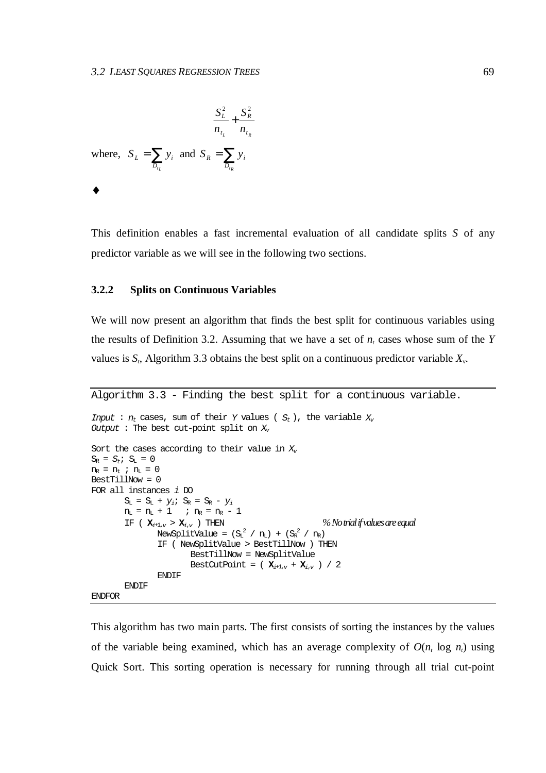2  $\mathbf{C}^2$ 

$$
\frac{S_L^2}{n_{t_L}} + \frac{S_R^2}{n_{t_R}}
$$
  
where,  $S_L = \sum_{D_{t_L}} y_i$  and  $S_R = \sum_{D_{t_R}} y_i$ 

♦

This definition enables a fast incremental evaluation of all candidate splits *S* of any predictor variable as we will see in the following two sections.

#### **3.2.2 Splits on Continuous Variables**

We will now present an algorithm that finds the best split for continuous variables using the results of Definition 3.2. Assuming that we have a set of  $n<sub>t</sub>$  cases whose sum of the *Y* values is  $S_t$ , Algorithm 3.3 obtains the best split on a continuous predictor variable  $X_v$ .

```
Algorithm 3.3 - Finding the best split for a continuous variable.
Input : n_t cases, sum of their Y values (S_t), the variable X_vOutput : The best cut-point split on X_{\nu}Sort the cases according to their value in X<sub>v</sub>S_R = S_t; S_L = 0n_R = n_t ; n_L = 0BestTillNow = 0
FOR all instances i DO
       S_L = S_L + y_i; S_R = S_R - y_in_L = n_L + 1 ; n_R = n_R - 1IF (\mathbf{x}_{i+1,v} > \mathbf{x}_{i,v}) THEN <sup>%</sup> No trial if values are equal
                NewSplitValue = (S_L^2 / n_L) + (S_R^2 / n_R)IF ( NewSplitValue > BestTillNow ) THEN
                       BestTillNow = NewSplitValue
                       BestCutPoint = (X_{i+1,v} + X_{i,v}) / 2ENDIF
        ENDIF
ENDFOR
```
This algorithm has two main parts. The first consists of sorting the instances by the values of the variable being examined, which has an average complexity of  $O(n_t \log n_t)$  using Quick Sort. This sorting operation is necessary for running through all trial cut-point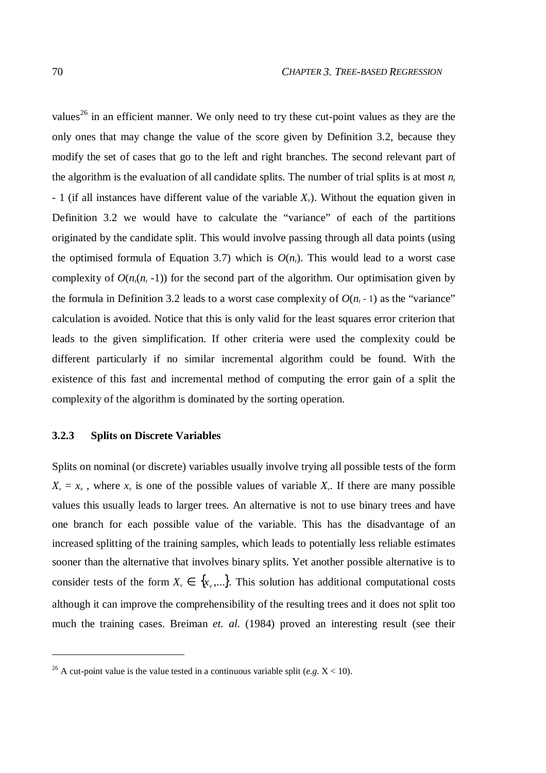values<sup>26</sup> in an efficient manner. We only need to try these cut-point values as they are the only ones that may change the value of the score given by Definition 3.2, because they modify the set of cases that go to the left and right branches. The second relevant part of the algorithm is the evaluation of all candidate splits. The number of trial splits is at most  $n_t$ - 1 (if all instances have different value of the variable *Xv*). Without the equation given in Definition 3.2 we would have to calculate the "variance" of each of the partitions originated by the candidate split. This would involve passing through all data points (using the optimised formula of Equation 3.7) which is  $O(n<sub>t</sub>)$ . This would lead to a worst case complexity of  $O(n<sub>t</sub>(n<sub>t</sub> - 1))$  for the second part of the algorithm. Our optimisation given by the formula in Definition 3.2 leads to a worst case complexity of  $O(n_t - 1)$  as the "variance" calculation is avoided. Notice that this is only valid for the least squares error criterion that leads to the given simplification. If other criteria were used the complexity could be different particularly if no similar incremental algorithm could be found. With the existence of this fast and incremental method of computing the error gain of a split the complexity of the algorithm is dominated by the sorting operation.

### **3.2.3 Splits on Discrete Variables**

Splits on nominal (or discrete) variables usually involve trying all possible tests of the form  $X_{\nu} = x_{\nu}$ , where  $x_{\nu}$  is one of the possible values of variable  $X_{\nu}$ . If there are many possible values this usually leads to larger trees. An alternative is not to use binary trees and have one branch for each possible value of the variable. This has the disadvantage of an increased splitting of the training samples, which leads to potentially less reliable estimates sooner than the alternative that involves binary splits. Yet another possible alternative is to consider tests of the form  $X_v \in \{x_v, ...\}$ . This solution has additional computational costs although it can improve the comprehensibility of the resulting trees and it does not split too much the training cases. Breiman *et. al.* (1984) proved an interesting result (see their

 $\overline{a}$ 

<sup>&</sup>lt;sup>26</sup> A cut-point value is the value tested in a continuous variable split (*e.g.*  $X < 10$ ).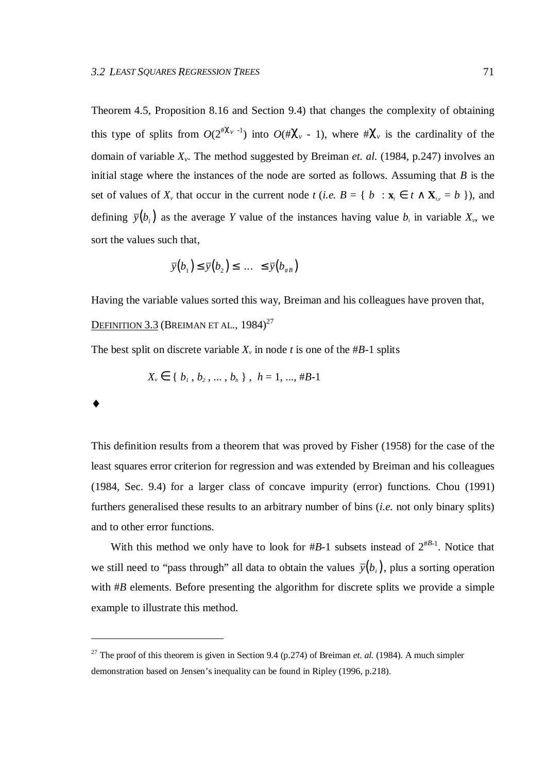Theorem 4.5, Proposition 8.16 and Section 9.4) that changes the complexity of obtaining this type of splits from  $O(2^{i\chi_v - 1})$  into  $O(i\chi_v - 1)$ , where  $\chi_v$  is the cardinality of the domain of variable *Xv*. The method suggested by Breiman *et. al.* (1984, p.247) involves an initial stage where the instances of the node are sorted as follows. Assuming that *B* is the set of values of  $X_v$  that occur in the current node  $t$  (*i.e.*  $B = \{ b : \mathbf{x}_i \in t \wedge \mathbf{X}_{iv} = b \}$ ), and defining  $\bar{y}(b_i)$  as the average *Y* value of the instances having value  $b_i$  in variable  $X_v$ , we sort the values such that,

$$
\overline{y}(b_1) \leq \overline{y}(b_2) \leq \ldots \leq \overline{y}(b_{\#B})
$$

Having the variable values sorted this way, Breiman and his colleagues have proven that, Definition 3.3 (Breiman et al., 1984)<sup>27</sup>

The best split on discrete variable  $X<sub>v</sub>$  in node *t* is one of the #*B*-1 splits

$$
X_{\nu} \in \{b_1, b_2, \dots, b_h\}, \ h = 1, ..., #B-1
$$

♦

 $\overline{a}$ 

This definition results from a theorem that was proved by Fisher (1958) for the case of the least squares error criterion for regression and was extended by Breiman and his colleagues (1984, Sec. 9.4) for a larger class of concave impurity (error) functions. Chou (1991) furthers generalised these results to an arbitrary number of bins (*i.e.* not only binary splits) and to other error functions.

With this method we only have to look for  $#B-1$  subsets instead of  $2^{#B-1}$ . Notice that we still need to "pass through" all data to obtain the values  $\bar{v}(b_i)$ , plus a sorting operation with #*B* elements. Before presenting the algorithm for discrete splits we provide a simple example to illustrate this method.

<sup>&</sup>lt;sup>27</sup> The proof of this theorem is given in Section 9.4 (p.274) of Breiman *et. al.* (1984). A much simpler demonstration based on Jensen's inequality can be found in Ripley (1996, p.218).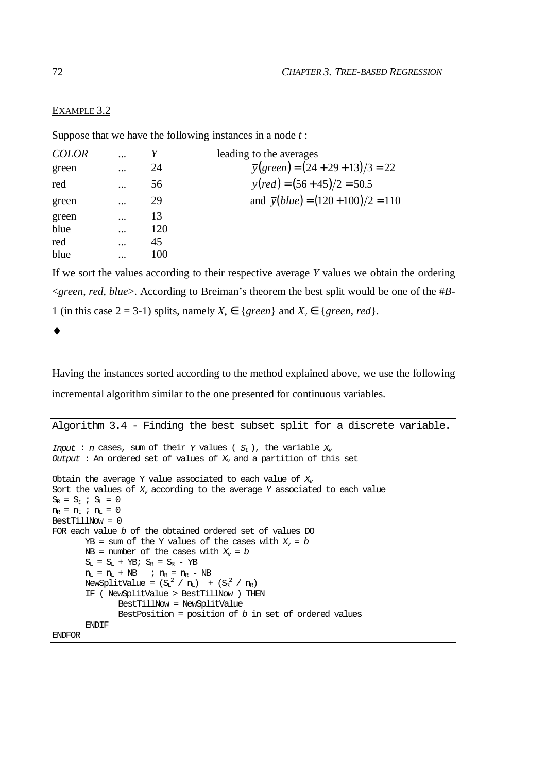## EXAMPLE 3.2

Suppose that we have the following instances in a node *t* :

| <b>COLOR</b> | .        |     | leading to the averages                         |
|--------------|----------|-----|-------------------------------------------------|
| green        |          | 24  | $\overline{y}(green) = (24 + 29 + 13)/3 = 22$   |
| red          | .        | 56  | $\overline{y}(\text{red}) = (56 + 45)/2 = 50.5$ |
| green        |          | 29  | and $\bar{y}(blue) = (120 + 100)/2 = 110$       |
| green        |          | 13  |                                                 |
| blue         |          | 120 |                                                 |
| red          | $\cdots$ | 45  |                                                 |
| blue         |          | 100 |                                                 |

If we sort the values according to their respective average *Y* values we obtain the ordering <*green*, *red*, *blue*>. According to Breiman's theorem the best split would be one of the #*B*-1 (in this case  $2 = 3-1$ ) splits, namely  $X_v \in \{green\}$  and  $X_v \in \{green, red\}$ .

♦

Having the instances sorted according to the method explained above, we use the following incremental algorithm similar to the one presented for continuous variables.

```
Algorithm 3.4 - Finding the best subset split for a discrete variable.
Input : n cases, sum of their Y values (S_t), the variable X_tOutput : An ordered set of values of X<sub>r</sub> and a partition of this set
Obtain the average Y value associated to each value of X_{\nu}Sort the values of X_v according to the average Y associated to each value
\mathbf{S}_{\mathrm{R}}\ =\ \mathbf{S}_{t}\ \ \textit{\textbf{i}}\ \ \mathbf{S}_{\mathrm{L}}\ =\ 0n_R = n_t ; n_L = 0BestTillNow = 0
FOR each value b of the obtained ordered set of values DO
        YB = sum of the Y values of the cases with <math>X_v = b</math>NB = number of the cases with X_v = bS_L = S_L + YB; S_R = S_R - YBn_L = n_L + NB ; n_R = n_R - NBNewSplitValue = (S_L^2 / n_L) + (S_R^2 / n_R)IF ( NewSplitValue > BestTillNow ) THEN
                BestTillNow = NewSplitValue
                BestPosition = position of b in set of ordered values
        ENDIF
```
ENDFOR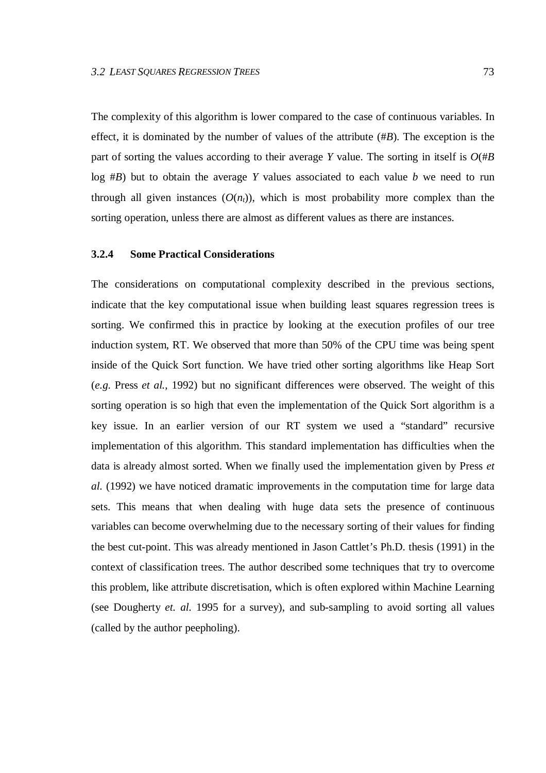The complexity of this algorithm is lower compared to the case of continuous variables. In effect, it is dominated by the number of values of the attribute (#*B*). The exception is the part of sorting the values according to their average *Y* value. The sorting in itself is  $O(HB)$ log #*B*) but to obtain the average *Y* values associated to each value *b* we need to run through all given instances  $(O(n_t))$ , which is most probability more complex than the sorting operation, unless there are almost as different values as there are instances.

## **3.2.4 Some Practical Considerations**

The considerations on computational complexity described in the previous sections, indicate that the key computational issue when building least squares regression trees is sorting. We confirmed this in practice by looking at the execution profiles of our tree induction system, RT. We observed that more than 50% of the CPU time was being spent inside of the Quick Sort function. We have tried other sorting algorithms like Heap Sort (*e.g.* Press *et al.*, 1992) but no significant differences were observed. The weight of this sorting operation is so high that even the implementation of the Quick Sort algorithm is a key issue. In an earlier version of our RT system we used a "standard" recursive implementation of this algorithm. This standard implementation has difficulties when the data is already almost sorted. When we finally used the implementation given by Press *et al.* (1992) we have noticed dramatic improvements in the computation time for large data sets. This means that when dealing with huge data sets the presence of continuous variables can become overwhelming due to the necessary sorting of their values for finding the best cut-point. This was already mentioned in Jason Cattlet's Ph.D. thesis (1991) in the context of classification trees. The author described some techniques that try to overcome this problem, like attribute discretisation, which is often explored within Machine Learning (see Dougherty *et. al.* 1995 for a survey), and sub-sampling to avoid sorting all values (called by the author peepholing).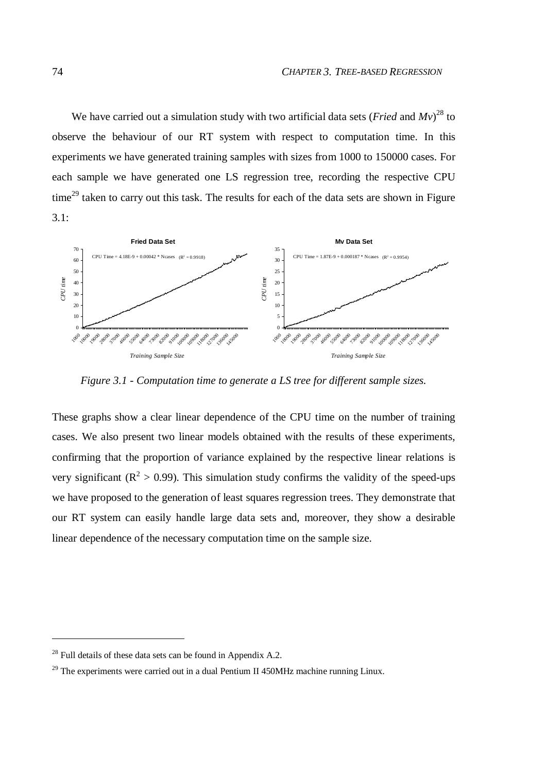We have carried out a simulation study with two artificial data sets (*Fried* and *Mv*) <sup>28</sup> to observe the behaviour of our RT system with respect to computation time. In this experiments we have generated training samples with sizes from 1000 to 150000 cases. For each sample we have generated one LS regression tree, recording the respective CPU time<sup>29</sup> taken to carry out this task. The results for each of the data sets are shown in Figure  $3.1:$ 



*Figure 3.1 - Computation time to generate a LS tree for different sample sizes.*

These graphs show a clear linear dependence of the CPU time on the number of training cases. We also present two linear models obtained with the results of these experiments, confirming that the proportion of variance explained by the respective linear relations is very significant ( $\mathbb{R}^2 > 0.99$ ). This simulation study confirms the validity of the speed-ups we have proposed to the generation of least squares regression trees. They demonstrate that our RT system can easily handle large data sets and, moreover, they show a desirable linear dependence of the necessary computation time on the sample size.

 $\overline{a}$ 

 $^{28}$  Full details of these data sets can be found in Appendix A.2.

The experiments were carried out in a dual Pentium II 450MHz machine running Linux.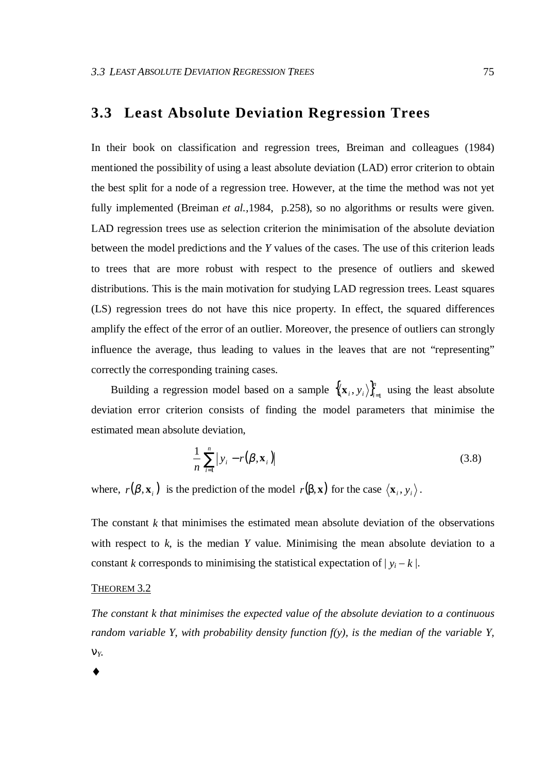## **3.3 Least Absolute Deviation Regression Trees**

In their book on classification and regression trees, Breiman and colleagues (1984) mentioned the possibility of using a least absolute deviation (LAD) error criterion to obtain the best split for a node of a regression tree. However, at the time the method was not yet fully implemented (Breiman *et al.*, 1984, p.258), so no algorithms or results were given. LAD regression trees use as selection criterion the minimisation of the absolute deviation between the model predictions and the *Y* values of the cases. The use of this criterion leads to trees that are more robust with respect to the presence of outliers and skewed distributions. This is the main motivation for studying LAD regression trees. Least squares (LS) regression trees do not have this nice property. In effect, the squared differences amplify the effect of the error of an outlier. Moreover, the presence of outliers can strongly influence the average, thus leading to values in the leaves that are not "representing" correctly the corresponding training cases.

Building a regression model based on a sample  $\{(\mathbf{x}_i, y_i)\}_{i=1}^n$  $\mathbf{x}_i, y_i \rangle_{i=1}^n$  using the least absolute deviation error criterion consists of finding the model parameters that minimise the estimated mean absolute deviation,

$$
\frac{1}{n}\sum_{i=1}^{n}|y_i - r(\boldsymbol{\beta}, \mathbf{x}_i)|
$$
\n(3.8)

where,  $r(\beta, \mathbf{x}_i)$  is the prediction of the model  $r(\beta, \mathbf{x})$  for the case  $\langle \mathbf{x}_i, y_i \rangle$ .

The constant  $k$  that minimises the estimated mean absolute deviation of the observations with respect to  $k$ , is the median  $Y$  value. Minimising the mean absolute deviation to a constant *k* corresponds to minimising the statistical expectation of  $|y_i - k|$ .

## THEOREM 3.2

*The constant k that minimises the expected value of the absolute deviation to a continuous random variable Y, with probability density function f(y), is the median of the variable Y,* ν*Y.*

♦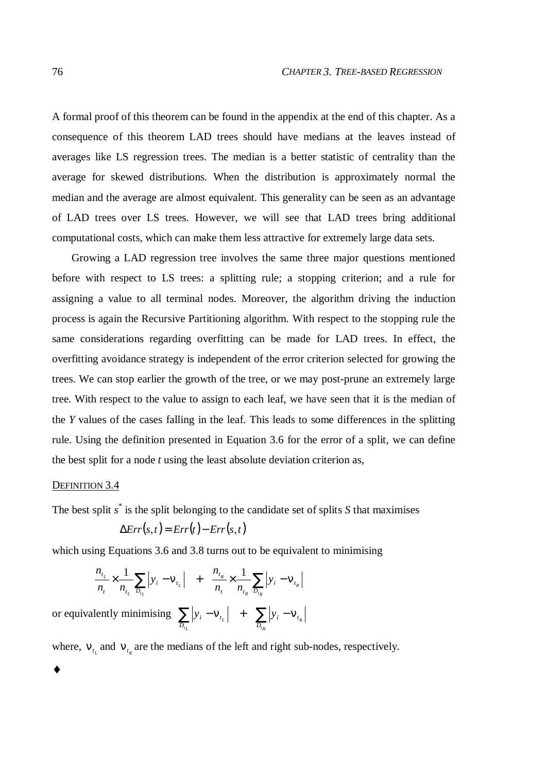A formal proof of this theorem can be found in the appendix at the end of this chapter. As a consequence of this theorem LAD trees should have medians at the leaves instead of averages like LS regression trees. The median is a better statistic of centrality than the average for skewed distributions. When the distribution is approximately normal the median and the average are almost equivalent. This generality can be seen as an advantage of LAD trees over LS trees. However, we will see that LAD trees bring additional computational costs, which can make them less attractive for extremely large data sets.

Growing a LAD regression tree involves the same three major questions mentioned before with respect to LS trees: a splitting rule; a stopping criterion; and a rule for assigning a value to all terminal nodes. Moreover, the algorithm driving the induction process is again the Recursive Partitioning algorithm. With respect to the stopping rule the same considerations regarding overfitting can be made for LAD trees. In effect, the overfitting avoidance strategy is independent of the error criterion selected for growing the trees. We can stop earlier the growth of the tree, or we may post-prune an extremely large tree. With respect to the value to assign to each leaf, we have seen that it is the median of the *Y* values of the cases falling in the leaf. This leads to some differences in the splitting rule. Using the definition presented in Equation 3.6 for the error of a split, we can define the best split for a node *t* using the least absolute deviation criterion as,

#### DEFINITION 3.4

♦

The best split *s* \* is the split belonging to the candidate set of splits *S* that maximises

$$
\Delta Err(s,t) = Err(t) - Err(s,t)
$$

which using Equations 3.6 and 3.8 turns out to be equivalent to minimising

$$
\frac{n_{t_L}}{n_t} \times \frac{1}{n_{t_L}} \sum_{D_{t_L}} |y_i - v_{t_L}| + \frac{n_{t_R}}{n_t} \times \frac{1}{n_{t_R}} \sum_{D_{t_R}} |y_i - v_{t_R}|
$$

or equivalently minimising  $\sum_{i=1}^{\infty} |y_i - v_{t_i}| + \sum_{i=1}^{\infty} |y_i - v_{t_i}|$ *tR R L t L D i t D*  $y_i - v_{t_i}$  +  $\sum y_i$ 

where,  $V_{t_{L}}$  and  $V_{t_{R}}$  are the medians of the left and right sub-nodes, respectively.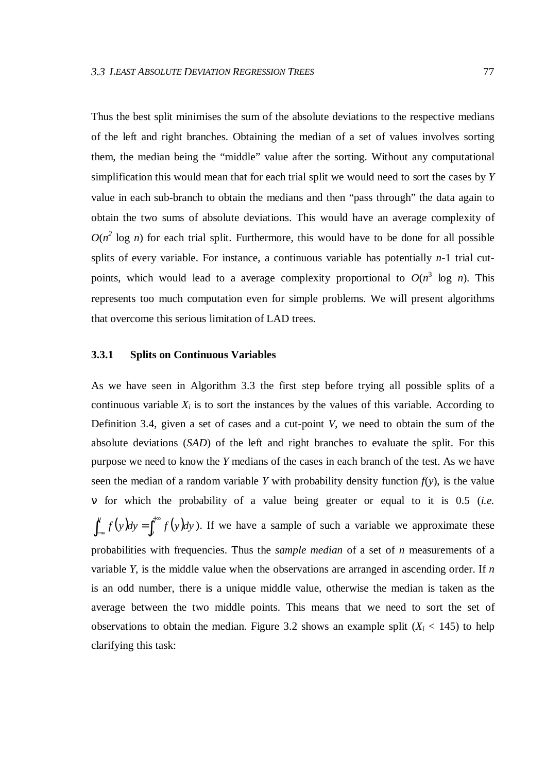Thus the best split minimises the sum of the absolute deviations to the respective medians of the left and right branches. Obtaining the median of a set of values involves sorting them, the median being the "middle" value after the sorting. Without any computational simplification this would mean that for each trial split we would need to sort the cases by *Y* value in each sub-branch to obtain the medians and then "pass through" the data again to obtain the two sums of absolute deviations. This would have an average complexity of  $O(n^2 \log n)$  for each trial split. Furthermore, this would have to be done for all possible splits of every variable. For instance, a continuous variable has potentially *n*-1 trial cutpoints, which would lead to a average complexity proportional to  $O(n^3 \log n)$ . This represents too much computation even for simple problems. We will present algorithms that overcome this serious limitation of LAD trees.

#### **3.3.1 Splits on Continuous Variables**

As we have seen in Algorithm 3.3 the first step before trying all possible splits of a continuous variable  $X_i$  is to sort the instances by the values of this variable. According to Definition 3.4, given a set of cases and a cut-point *V*, we need to obtain the sum of the absolute deviations (*SAD*) of the left and right branches to evaluate the split. For this purpose we need to know the *Y* medians of the cases in each branch of the test. As we have seen the median of a random variable *Y* with probability density function  $f(y)$ , is the value ν for which the probability of a value being greater or equal to it is 0.5 (*i.e.*  $\int_{-\infty}^{v} f(y) dy = \int_{v}^{+\infty} f(y) dy$  $-f(y)dy = \int_{v}$  $f(y)dy = \int_{0}^{x} f(y)dy$ . If we have a sample of such a variable we approximate these probabilities with frequencies. Thus the *sample median* of a set of *n* measurements of a variable *Y*, is the middle value when the observations are arranged in ascending order. If *n* is an odd number, there is a unique middle value, otherwise the median is taken as the average between the two middle points. This means that we need to sort the set of observations to obtain the median. Figure 3.2 shows an example split  $(X_i < 145)$  to help clarifying this task: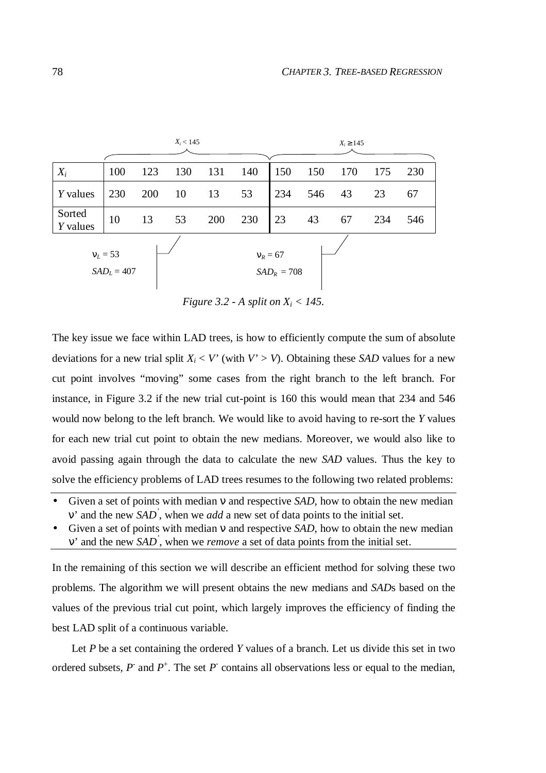|                             |     |     | $X_i < 145$ |                             |     |     |     | $X_i \ge 145$ |     |     |
|-----------------------------|-----|-----|-------------|-----------------------------|-----|-----|-----|---------------|-----|-----|
| $X_i$                       | 100 | 123 | 130         | 131                         | 140 | 150 | 150 | 170           | 175 | 230 |
| <i>Y</i> values             | 230 | 200 | 10          | 13                          | 53  | 234 | 546 | 43            | 23  | 67  |
| Sorted<br>$Y$ values        | 10  | 13  | 53          | 200                         | 230 | 23  | 43  | 67            | 234 | 546 |
| $v_L = 53$<br>$SAD_L = 407$ |     |     |             | $v_R = 67$<br>$SAD_R = 708$ |     |     |     |               |     |     |

*Figure 3.2 - A split on X<sup>i</sup> < 145.*

The key issue we face within LAD trees, is how to efficiently compute the sum of absolute deviations for a new trial split  $X_i \leq V'$  (with  $V' > V$ ). Obtaining these *SAD* values for a new cut point involves "moving" some cases from the right branch to the left branch. For instance, in Figure 3.2 if the new trial cut-point is 160 this would mean that 234 and 546 would now belong to the left branch. We would like to avoid having to re-sort the *Y* values for each new trial cut point to obtain the new medians. Moreover, we would also like to avoid passing again through the data to calculate the new *SAD* values. Thus the key to solve the efficiency problems of LAD trees resumes to the following two related problems:

- Given a set of points with median ν and respective *SAD*, how to obtain the new median ν' and the new *SAD '* , when we *add* a new set of data points to the initial set.
- Given a set of points with median ν and respective *SAD*, how to obtain the new median ν' and the new *SAD '* , when we *remove* a set of data points from the initial set.

In the remaining of this section we will describe an efficient method for solving these two problems. The algorithm we will present obtains the new medians and *SAD*s based on the values of the previous trial cut point, which largely improves the efficiency of finding the best LAD split of a continuous variable.

Let *P* be a set containing the ordered *Y* values of a branch. Let us divide this set in two ordered subsets,  $P$  and  $P^+$ . The set  $P$  contains all observations less or equal to the median,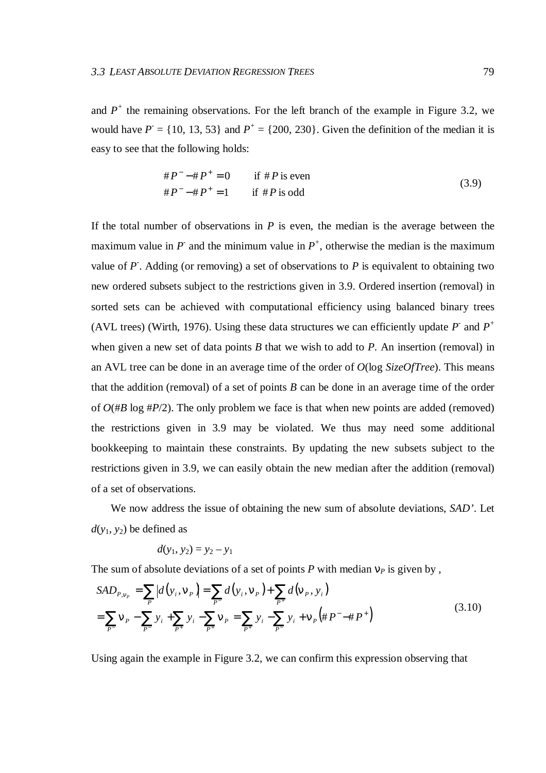and  $P^+$  the remaining observations. For the left branch of the example in Figure 3.2, we would have  $P = \{10, 13, 53\}$  and  $P^+ = \{200, 230\}$ . Given the definition of the median it is easy to see that the following holds:

$$
\begin{cases}\n\#P^{-} - \#P^{+} = 0 & \text{if } \#P \text{ is even} \\
\#P^{-} - \#P^{+} = 1 & \text{if } \#P \text{ is odd}\n\end{cases}
$$
\n(3.9)

If the total number of observations in *P* is even, the median is the average between the maximum value in  $P$  and the minimum value in  $P^+$ , otherwise the median is the maximum value of  $P$ . Adding (or removing) a set of observations to  $P$  is equivalent to obtaining two new ordered subsets subject to the restrictions given in 3.9. Ordered insertion (removal) in sorted sets can be achieved with computational efficiency using balanced binary trees (AVL trees) (Wirth, 1976). Using these data structures we can efficiently update  $P$  and  $P$ <sup>+</sup> when given a new set of data points *B* that we wish to add to *P*. An insertion (removal) in an AVL tree can be done in an average time of the order of *O*(log *SizeOfTree*). This means that the addition (removal) of a set of points *B* can be done in an average time of the order of  $O(\#B \log \#P/2)$ . The only problem we face is that when new points are added (removed) the restrictions given in 3.9 may be violated. We thus may need some additional bookkeeping to maintain these constraints. By updating the new subsets subject to the restrictions given in 3.9, we can easily obtain the new median after the addition (removal) of a set of observations.

We now address the issue of obtaining the new sum of absolute deviations, *SAD'*. Let  $d(y_1, y_2)$  be defined as

$$
d(y_1, y_2) = y_2 - y_1
$$

The sum of absolute deviations of a set of points  $P$  with median  $v_P$  is given by,

$$
SAD_{P,v_p} = \sum_{p} |d(y_i, v_p)| = \sum_{p} d(y_i, v_p) + \sum_{p^+} d(v_p, y_i)
$$
  
= 
$$
\sum_{p^-} v_p - \sum_{p^+} y_i + \sum_{p^+} y_i - \sum_{p^+} v_p = \sum_{p^+} y_i - \sum_{p^-} y_i + v_p (\# P^- - \# P^+)
$$
 (3.10)

Using again the example in Figure 3.2, we can confirm this expression observing that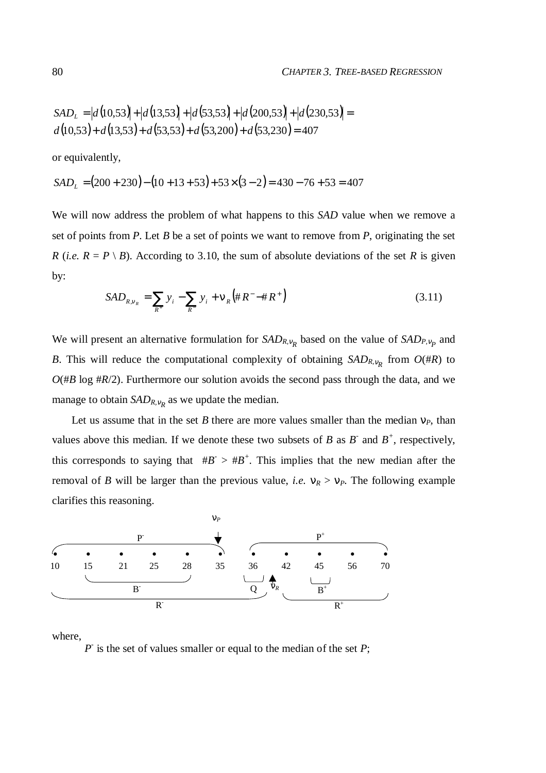$$
SAD_{L} = |d(10,53)| + |d(13,53)| + |d(53,53)| + |d(200,53)| + |d(230,53)| =
$$
  

$$
d(10,53) + d(13,53) + d(53,53) + d(53,200) + d(53,230) = 407
$$

or equivalently,

$$
SADL = (200 + 230) - (10 + 13 + 53) + 53 \times (3 - 2) = 430 - 76 + 53 = 407
$$

We will now address the problem of what happens to this *SAD* value when we remove a set of points from *P*. Let *B* be a set of points we want to remove from *P*, originating the set *R* (*i.e.*  $R = P \setminus B$ ). According to 3.10, the sum of absolute deviations of the set *R* is given by:

$$
SAD_{R,v_R} = \sum_{R^+} y_i - \sum_{R^-} y_i + v_R \left( #R^- - #R^+ \right)
$$
\n(3.11)

We will present an alternative formulation for  $SAD_{R,\nu_R}$  based on the value of  $SAD_{P,\nu_P}$  and *B*. This will reduce the computational complexity of obtaining  $SAD_{R,\nu_R}$  from  $O(\#R)$  to  $O(\#B \log \#R/2)$ . Furthermore our solution avoids the second pass through the data, and we manage to obtain *SAD<sub>R,v<sub>R</sub>*</sub> as we update the median.

Let us assume that in the set *B* there are more values smaller than the median  $v_P$ , than values above this median. If we denote these two subsets of *B* as *B* and  $B^+$ , respectively, this corresponds to saying that  $\#B > \#B^+$ . This implies that the new median after the removal of *B* will be larger than the previous value, *i.e.*  $v_R > v_P$ . The following example clarifies this reasoning.



where,

 $P$  is the set of values smaller or equal to the median of the set  $P$ ;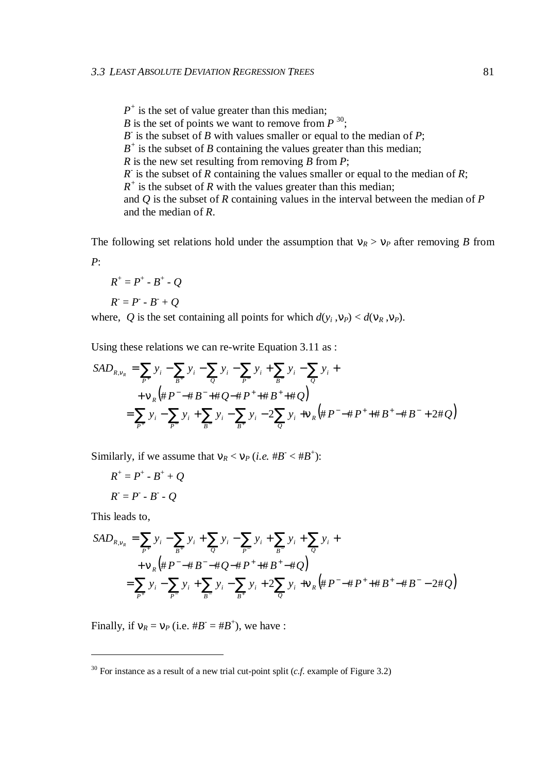$P^+$  is the set of value greater than this median; *B* is the set of points we want to remove from  $P^{30}$ ;  $B$  is the subset of *B* with values smaller or equal to the median of *P*;  $B^+$  is the subset of *B* containing the values greater than this median; *R* is the new set resulting from removing *B* from *P*;  $R$  is the subset of  $R$  containing the values smaller or equal to the median of  $R$ ;  $R^+$  is the subset of *R* with the values greater than this median; and *Q* is the subset of *R* containing values in the interval between the median of *P* and the median of *R*.

The following set relations hold under the assumption that  $v_R > v_P$  after removing *B* from *P*:

$$
R^+ = P^+ - B^+ - Q
$$

$$
R^{\cdot} = P^{\cdot} - B^{\cdot} + Q
$$

where, *Q* is the set containing all points for which  $d(y_i, y_p) < d(y_R, y_p)$ .

Using these relations we can re-write Equation 3.11 as :

$$
SAD_{R,v_R} = \sum_{P^+} y_i - \sum_{B^+} y_i - \sum_{Q} y_i - \sum_{P^-} y_i + \sum_{B^-} y_i - \sum_{Q} y_i +
$$
  
+  $\forall R (\# P^- - \# B^- + \# Q - \# P^+ + \# B^+ + \# Q)$   
=  $\sum_{P^+} y_i - \sum_{P^-} y_i + \sum_{B^-} y_i - \sum_{B^+} y_i - 2 \sum_{Q} y_i + \sum_{R} (\# P^- - \# P^+ + \# B^+ - \# B^- + 2 \# Q)$ 

Similarly, if we assume that  $v_R < v_P$  (*i.e.* # $B^+ < \#B^+$ ):

$$
R^+=P^+-B^++Q
$$

$$
R^{\cdot} = P^{\cdot} \cdot B^{\cdot} \cdot Q
$$

This leads to,

 $\overline{a}$ 

$$
SAD_{R,v_R} = \sum_{P^+} y_i - \sum_{B^+} y_i + \sum_{Q} y_i - \sum_{P^-} y_i + \sum_{B^-} y_i + \sum_{Q} y_i +
$$
  
+  $\mathbf{v}_R (\# P^- - \# B^- - \# Q - \# P^+ + \# B^+ - \# Q)$   
=  $\sum_{P^+} y_i - \sum_{P^-} y_i + \sum_{B^-} y_i - \sum_{B^+} y_i + 2 \sum_{Q} y_i + \mathbf{v}_R (\# P^- - \# P^+ + \# B^+ - \# B^- - 2 \# Q)$ 

Finally, if  $v_R = v_P$  (i.e.  $\#B^- = \#B^+$ ), we have :

 $30$  For instance as a result of a new trial cut-point split ( $c.f$ , example of Figure 3.2)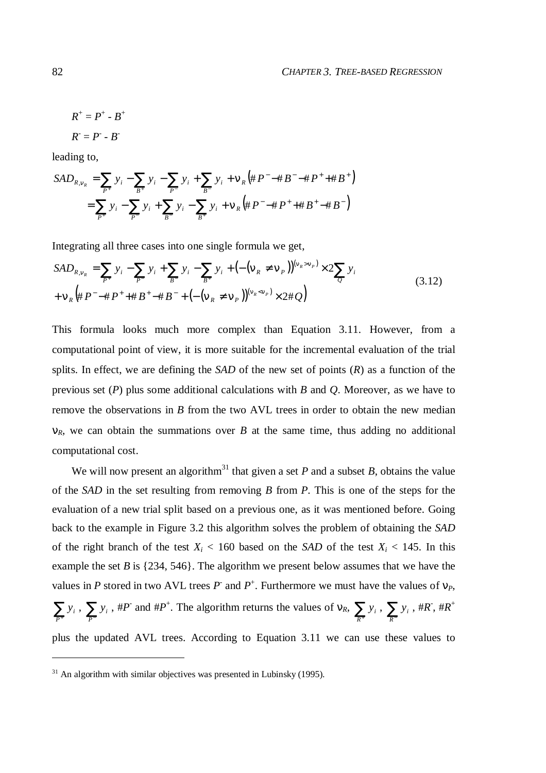$R^+ = P^+ - B^+$ 

$$
R^{\cdot} = P^{\cdot} \cdot B^{\cdot}
$$

leading to,

$$
SAD_{R,v_R} = \sum_{P^+} y_i - \sum_{B^+} y_i - \sum_{P^-} y_i + \sum_{B^-} y_i + v_R (\#P^- \# B^- \# P^+ \# B^+)
$$
  
= 
$$
\sum_{P^+} y_i - \sum_{P^-} y_i + \sum_{B^-} y_i - \sum_{B^+} y_i + v_R (\#P^- \# P^+ \# B^+ \# B^-)
$$

Integrating all three cases into one single formula we get,

$$
SAD_{R,v_R} = \sum_{P^+} y_i - \sum_{P^-} y_i + \sum_{B^-} y_i - \sum_{B^+} y_i + \left( -(\mathbf{v}_R \neq \mathbf{v}_P) \right)^{(\mathbf{v}_R > \mathbf{v}_P)} \times 2 \sum_{Q} y_i
$$
  
+  $\mathbf{v}_R (\# P^- \# P^+ + \# B^+ \# B^- + \left( -(\mathbf{v}_R \neq \mathbf{v}_P) \right)^{(\mathbf{v}_R < \mathbf{v}_P)} \times 2 \# Q$  (3.12)

This formula looks much more complex than Equation 3.11. However, from a computational point of view, it is more suitable for the incremental evaluation of the trial splits. In effect, we are defining the *SAD* of the new set of points (*R*) as a function of the previous set (*P*) plus some additional calculations with *B* and *Q*. Moreover, as we have to remove the observations in *B* from the two AVL trees in order to obtain the new median  $v_R$ , we can obtain the summations over *B* at the same time, thus adding no additional computational cost.

We will now present an algorithm<sup>31</sup> that given a set  $P$  and a subset  $B$ , obtains the value of the *SAD* in the set resulting from removing *B* from *P*. This is one of the steps for the evaluation of a new trial split based on a previous one, as it was mentioned before. Going back to the example in Figure 3.2 this algorithm solves the problem of obtaining the *SAD* of the right branch of the test  $X_i$  < 160 based on the *SAD* of the test  $X_i$  < 145. In this example the set *B* is {234, 546}. The algorithm we present below assumes that we have the values in *P* stored in two AVL trees *P* and  $P^+$ . Furthermore we must have the values of  $v_P$ ,  $\sum_{P^+}$ *i*  $y_i$ ,  $\sum_{P^-}$ *y*<sub>*i*</sub>, #*P* and #*P*<sup>+</sup>. The algorithm returns the values of  $v_R$ ,  $\sum_{R^+}$ *i*  $y_i$ ,  $\sum_{R^-}$  $y_i$ , # $R^+$ , # $R^+$ 

plus the updated AVL trees. According to Equation 3.11 we can use these values to

 $\overline{a}$ 

 $31$  An algorithm with similar objectives was presented in Lubinsky (1995).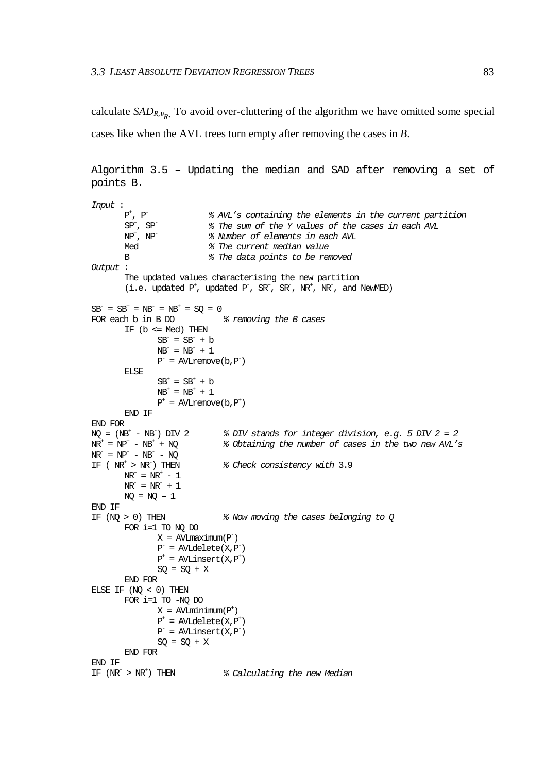calculate  $SAD_{R,v_R}$ . To avoid over-cluttering of the algorithm we have omitted some special cases like when the AVL trees turn empty after removing the cases in *B*.

```
Algorithm 3.5 – Updating the median and SAD after removing a set of
points B.
Input :
        P^+, P^-<br>SP<sup>+</sup>, SP<sup>-</sup>
                             % AVL's containing the elements in the current partition
        SP^+, SP^- % The sum of the Y values of the cases in each AVL NP^+, NP^- % Number of elements in each AVL
                             % Number of elements in each AVL
        Med \frac{1}{8} The current median value
        B % The data points to be removed
Output :
        The updated values characterising the new partition
        (i.e. updated P^{\dagger}, updated P^{\dagger}, SR^{\dagger}, SR^{\dagger}, NR^{\dagger}, NR^{\dagger}, and NewMED)
SB^- = SB^+ = NB^- = NB^+ = SQ = 0FOR each b in B DO \frac{1}{2} removing the B cases
        IF (b \leq Med) THEN
                SB^- = SB^- + bNB^{\text{-}} = NB^{\text{-}} + 1P^- = AVLremove(b, P^-)
        ELSE
                SB<sup>+</sup> = SB<sup>+</sup> + bNB^{+} = NB^{+} + 1P^+ = AVLremove(b, P^+)
        END IF
END FOR
NQ = (N\overline{B}^+ - N\overline{B}^-) DIV 2 \cong 8 DIV stands for integer division, e.g. 5 DIV 2 = 2
NF^+ = NP^+ - NB^+ + NQ % Obtaining the number of cases in the two new AVL's
N R^- = N P^- - N B^- - N QIF (NR^+ > NR^-) THEN \frac{2}{3} Check consistency with 3.9
        NR^+ = NR^+ - 1NR^{-} = NR^{-} + 1NQ = NQ - 1END IF
IF (NQ > 0) THEN \frac{2}{3} Now moving the cases belonging to Q
        FOR i=1 TO NQ DO
                 X = AVLmaximm(P^-)P^- = AVLdelete(X,P^-)
                 P^+ = AVLinsert(X,P^+)
                SO = SO + XEND FOR
ELSE IF (NO < 0) THEN
        FOR i=1 TO -NQ DO
                 X = AVLminimm(P^+)P^+ = AVLdelete(X,P^+)
                 P^- = AVLinsert(X,P^-)
                SQ = SQ + XEND FOR
END IF
IF (NR^{-} > NR^{+}) THEN \frac{2}{3} Calculating the new Median
```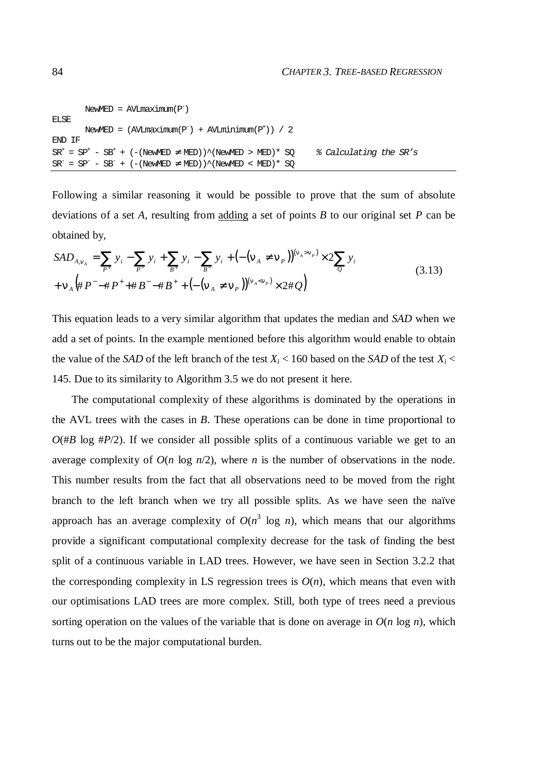```
NewMED = AVImaximm(P^-)ELSE
         NewMED = (AVLmaximum(P^{-}) + AVLminimm(P^{+})) / 2END IF
SR^* = SP^+ - SB^+ + (-(NewMED) \neq MED)<sup>*</sup>(NewMED > MED)<sup>*</sup> SQ % Calculating the SR's
SR^- = SP^- - SB^- + (-(NewMED) \neq MED)<sup>(</sup>NewMED < MED)* SQ
```
Following a similar reasoning it would be possible to prove that the sum of absolute deviations of a set *A*, resulting from adding a set of points *B* to our original set *P* can be obtained by,

$$
SAD_{A,v_A} = \sum_{P^+} y_i - \sum_{P^-} y_i + \sum_{B^+} y_i - \sum_{B^-} y_i + \left( -(\mathbf{v}_A \neq \mathbf{v}_P) \right)^{(\mathbf{v}_A > \mathbf{v}_P)} \times 2 \sum_{Q} y_i
$$
  
+  $\mathbf{v}_A \left( \# \, P^- - \# \, P^+ + \# \, B^- - \# \, B^+ + \left( -(\mathbf{v}_A \neq \mathbf{v}_P) \right)^{(\mathbf{v}_A < \mathbf{v}_P)} \times 2 \# \, Q \right)$  (3.13)

This equation leads to a very similar algorithm that updates the median and *SAD* when we add a set of points. In the example mentioned before this algorithm would enable to obtain the value of the *SAD* of the left branch of the test  $X_i < 160$  based on the *SAD* of the test  $X_i <$ 145. Due to its similarity to Algorithm 3.5 we do not present it here.

The computational complexity of these algorithms is dominated by the operations in the AVL trees with the cases in *B*. These operations can be done in time proportional to  $O(\#B \log \#P/2)$ . If we consider all possible splits of a continuous variable we get to an average complexity of  $O(n \log n/2)$ , where *n* is the number of observations in the node. This number results from the fact that all observations need to be moved from the right branch to the left branch when we try all possible splits. As we have seen the naïve approach has an average complexity of  $O(n^3 \log n)$ , which means that our algorithms provide a significant computational complexity decrease for the task of finding the best split of a continuous variable in LAD trees. However, we have seen in Section 3.2.2 that the corresponding complexity in LS regression trees is  $O(n)$ , which means that even with our optimisations LAD trees are more complex. Still, both type of trees need a previous sorting operation on the values of the variable that is done on average in  $O(n \log n)$ , which turns out to be the major computational burden.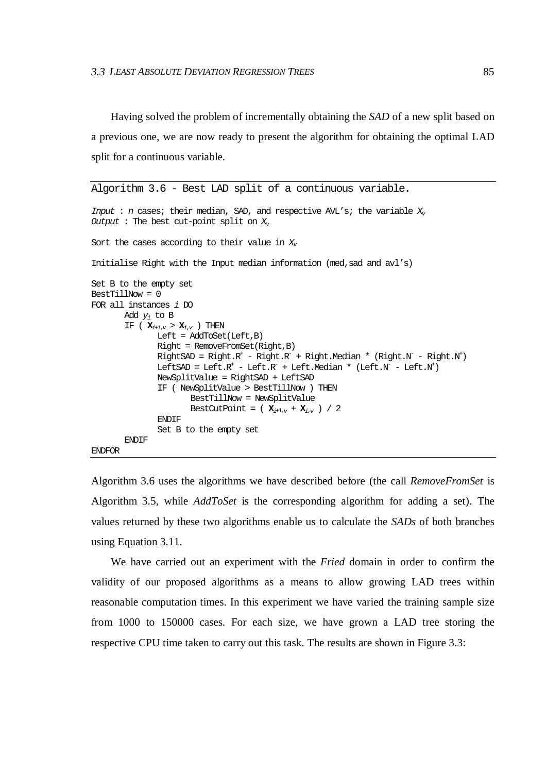Having solved the problem of incrementally obtaining the *SAD* of a new split based on a previous one, we are now ready to present the algorithm for obtaining the optimal LAD split for a continuous variable.

```
Algorithm 3.6 - Best LAD split of a continuous variable.
Input : n cases; their median, SAD, and respective AVL's; the variable X_{\nu}Output : The best cut-point split on X<sub>i</sub>Sort the cases according to their value in X_{\nu}Initialise Right with the Input median information (med,sad and avl's)
Set B to the empty set
BestTillNow = 0
FOR all instances i DO
       Add y_i to B
       IF ( \mathbf{X}_{i+1,\nu} > \mathbf{X}_{i,\nu} ) THEN
               Left = AddToSet(Left,B)
               Right = RemoveFromSet(Right,B)
               RightSAD = Right.R^+ - Right.R^- + Right.Median * (Right.N^- - Right.N^+)LeftSAD = Left.R^+ - Left.R^- + Left.Median * (Left.N^- - Left.N^+)NewSplitValue = RightSAD + LeftSAD
               IF ( NewSplitValue > BestTillNow ) THEN
                       BestTillNow = NewSplitValue
                       BestCutPoint = (X_{i+1,\nu} + X_{i,\nu}) / 2
               ENDIF
               Set B to the empty set
       ENDIF
ENDFOR
```
Algorithm 3.6 uses the algorithms we have described before (the call *RemoveFromSet* is Algorithm 3.5, while *AddToSet* is the corresponding algorithm for adding a set). The values returned by these two algorithms enable us to calculate the *SADs* of both branches using Equation 3.11.

We have carried out an experiment with the *Fried* domain in order to confirm the validity of our proposed algorithms as a means to allow growing LAD trees within reasonable computation times. In this experiment we have varied the training sample size from 1000 to 150000 cases. For each size, we have grown a LAD tree storing the respective CPU time taken to carry out this task. The results are shown in Figure 3.3: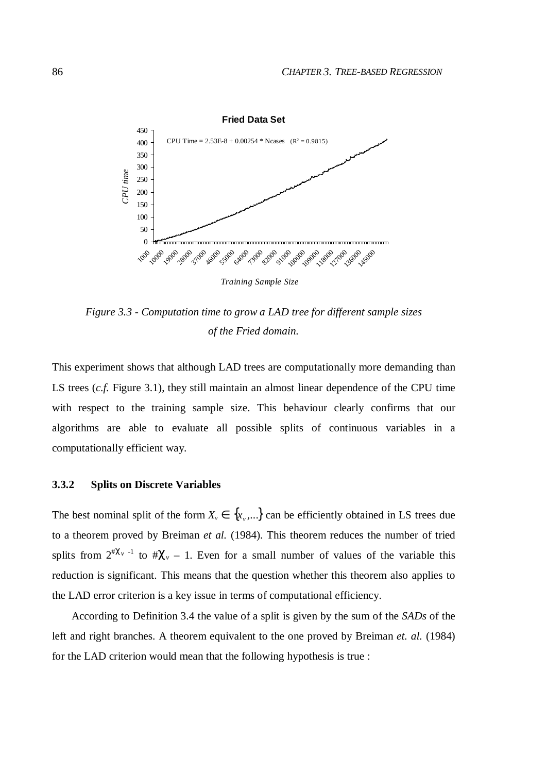

*Figure 3.3 - Computation time to grow a LAD tree for different sample sizes of the Fried domain.*

This experiment shows that although LAD trees are computationally more demanding than LS trees (*c.f.* Figure 3.1), they still maintain an almost linear dependence of the CPU time with respect to the training sample size. This behaviour clearly confirms that our algorithms are able to evaluate all possible splits of continuous variables in a computationally efficient way.

## **3.3.2 Splits on Discrete Variables**

The best nominal split of the form  $X_v \in \{x_v, ...\}$  can be efficiently obtained in LS trees due to a theorem proved by Breiman *et al.* (1984). This theorem reduces the number of tried splits from  $2^{n\chi_v}$ <sup>1</sup> to  $\#\chi_v$  – 1. Even for a small number of values of the variable this reduction is significant. This means that the question whether this theorem also applies to the LAD error criterion is a key issue in terms of computational efficiency.

According to Definition 3.4 the value of a split is given by the sum of the *SADs* of the left and right branches. A theorem equivalent to the one proved by Breiman *et. al.* (1984) for the LAD criterion would mean that the following hypothesis is true :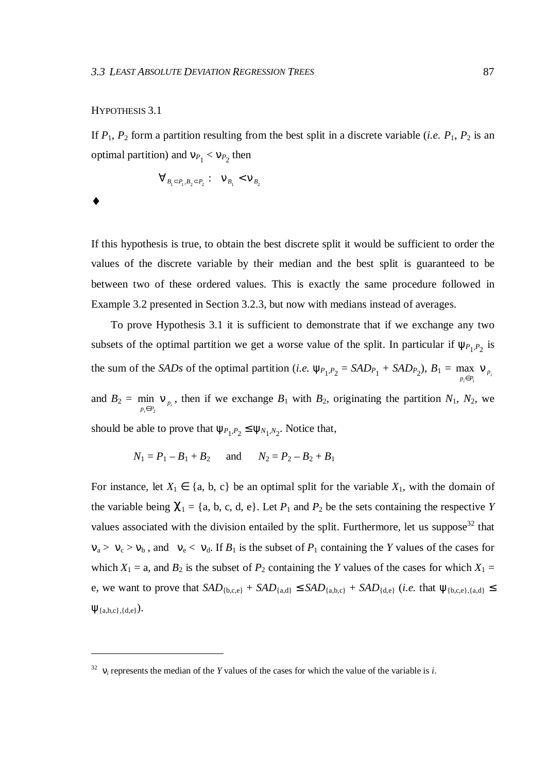#### HYPOTHESIS 3.1

If  $P_1$ ,  $P_2$  form a partition resulting from the best split in a discrete variable (*i.e.*  $P_1$ ,  $P_2$  is an optimal partition) and  $v_{P_1} < v_{P_2}$  then

$$
\forall_{B_1 \subset P_1, B_2 \subset P_2} : \quad \mathbf{V}_{B_1} < \mathbf{V}_{B_2}
$$

♦

 $\overline{a}$ 

If this hypothesis is true, to obtain the best discrete split it would be sufficient to order the values of the discrete variable by their median and the best split is guaranteed to be between two of these ordered values. This is exactly the same procedure followed in Example 3.2 presented in Section 3.2.3, but now with medians instead of averages.

To prove Hypothesis 3.1 it is sufficient to demonstrate that if we exchange any two subsets of the optimal partition we get a worse value of the split. In particular if  $\psi_{P_1,P_2}$  is the sum of the *SADs* of the optimal partition (*i.e.*  $\psi_{P_1,P_2} = SAD_{P_1} + SAD_{P_2}$ ),  $B_1 = \max_{P_i \in P_1} \nu_{P_i}$  $p_i \in P_i$   $\downarrow p$ ν  $\in P_1$ max and  $B_2 = \min_{p_i \in P_2} v_{p_i}$  $\lim_{p_i \in P_2}$  **v** *p* ν  $\in P_2$ min  $v_{p}$ , then if we exchange  $B_1$  with  $B_2$ , originating the partition  $N_1$ ,  $N_2$ , we

should be able to prove that  $\psi_{P_1, P_2} \leq \psi_{N_1, N_2}$ . Notice that,

$$
N_1 = P_1 - B_1 + B_2
$$
 and  $N_2 = P_2 - B_2 + B_1$ 

For instance, let  $X_1 \in \{a, b, c\}$  be an optimal split for the variable  $X_1$ , with the domain of the variable being  $\chi_1 = \{a, b, c, d, e\}$ . Let  $P_1$  and  $P_2$  be the sets containing the respective *Y* values associated with the division entailed by the split. Furthermore, let us suppose<sup>32</sup> that  $v_a > v_c > v_b$ , and  $v_e < v_d$ . If  $B_1$  is the subset of  $P_1$  containing the *Y* values of the cases for which  $X_1 = a$ , and  $B_2$  is the subset of  $P_2$  containing the *Y* values of the cases for which  $X_1 =$ e, we want to prove that  $SAD_{\{b,c,e\}} + SAD_{\{a,d\}} \leq SAD_{\{a,b,c\}} + SAD_{\{d,e\}}$  (*i.e.* that  $\psi_{\{b,c,e\},\{a,d\}} \leq$  $\Psi_{\{a,b,c\},\{d,e\}}).$ 

 $32 \text{ } v_i$  represents the median of the *Y* values of the cases for which the value of the variable is *i*.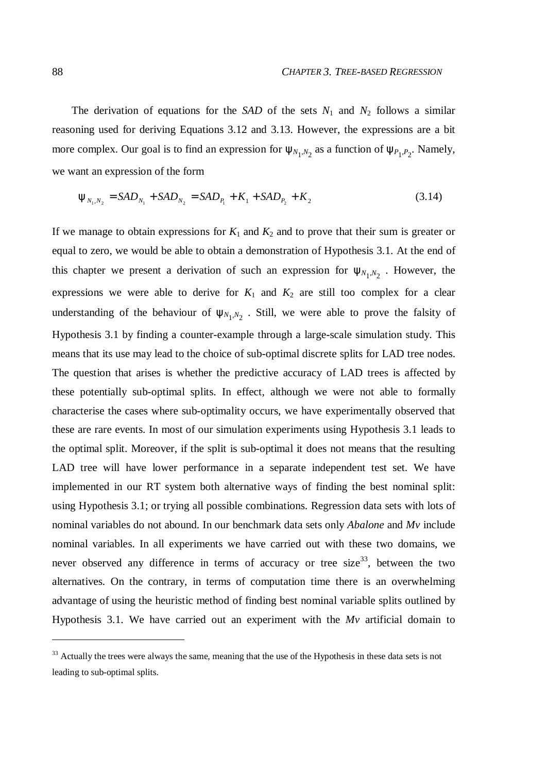The derivation of equations for the *SAD* of the sets  $N_1$  and  $N_2$  follows a similar reasoning used for deriving Equations 3.12 and 3.13. However, the expressions are a bit more complex. Our goal is to find an expression for  $\psi_{N_1,N_2}$  as a function of  $\psi_{P_1,P_2}$ . Namely, we want an expression of the form

$$
\Psi_{N_1, N_2} = SAD_{N_1} + SAD_{N_2} = SAD_{P_1} + K_1 + SAD_{P_2} + K_2
$$
\n(3.14)

If we manage to obtain expressions for  $K_1$  and  $K_2$  and to prove that their sum is greater or equal to zero, we would be able to obtain a demonstration of Hypothesis 3.1. At the end of this chapter we present a derivation of such an expression for  $\psi_{N_1,N_2}$ . However, the expressions we were able to derive for  $K_1$  and  $K_2$  are still too complex for a clear understanding of the behaviour of  $\psi_{N_1,N_2}$ . Still, we were able to prove the falsity of Hypothesis 3.1 by finding a counter-example through a large-scale simulation study. This means that its use may lead to the choice of sub-optimal discrete splits for LAD tree nodes. The question that arises is whether the predictive accuracy of LAD trees is affected by these potentially sub-optimal splits. In effect, although we were not able to formally characterise the cases where sub-optimality occurs, we have experimentally observed that these are rare events. In most of our simulation experiments using Hypothesis 3.1 leads to the optimal split. Moreover, if the split is sub-optimal it does not means that the resulting LAD tree will have lower performance in a separate independent test set. We have implemented in our RT system both alternative ways of finding the best nominal split: using Hypothesis 3.1; or trying all possible combinations. Regression data sets with lots of nominal variables do not abound. In our benchmark data sets only *Abalone* and *Mv* include nominal variables. In all experiments we have carried out with these two domains, we never observed any difference in terms of accuracy or tree size<sup>33</sup>, between the two alternatives. On the contrary, in terms of computation time there is an overwhelming advantage of using the heuristic method of finding best nominal variable splits outlined by Hypothesis 3.1. We have carried out an experiment with the *Mv* artificial domain to

 $\overline{a}$ 

<sup>&</sup>lt;sup>33</sup> Actually the trees were always the same, meaning that the use of the Hypothesis in these data sets is not leading to sub-optimal splits.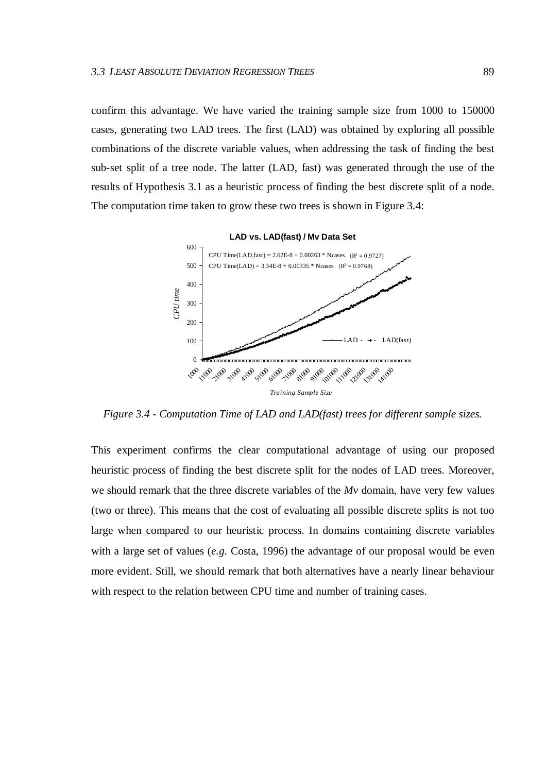confirm this advantage. We have varied the training sample size from 1000 to 150000 cases, generating two LAD trees. The first (LAD) was obtained by exploring all possible combinations of the discrete variable values, when addressing the task of finding the best sub-set split of a tree node. The latter (LAD, fast) was generated through the use of the results of Hypothesis 3.1 as a heuristic process of finding the best discrete split of a node. The computation time taken to grow these two trees is shown in Figure 3.4:



*Figure 3.4 - Computation Time of LAD and LAD(fast) trees for different sample sizes.*

This experiment confirms the clear computational advantage of using our proposed heuristic process of finding the best discrete split for the nodes of LAD trees. Moreover, we should remark that the three discrete variables of the *Mv* domain, have very few values (two or three). This means that the cost of evaluating all possible discrete splits is not too large when compared to our heuristic process. In domains containing discrete variables with a large set of values (*e.g.* Costa, 1996) the advantage of our proposal would be even more evident. Still, we should remark that both alternatives have a nearly linear behaviour with respect to the relation between CPU time and number of training cases.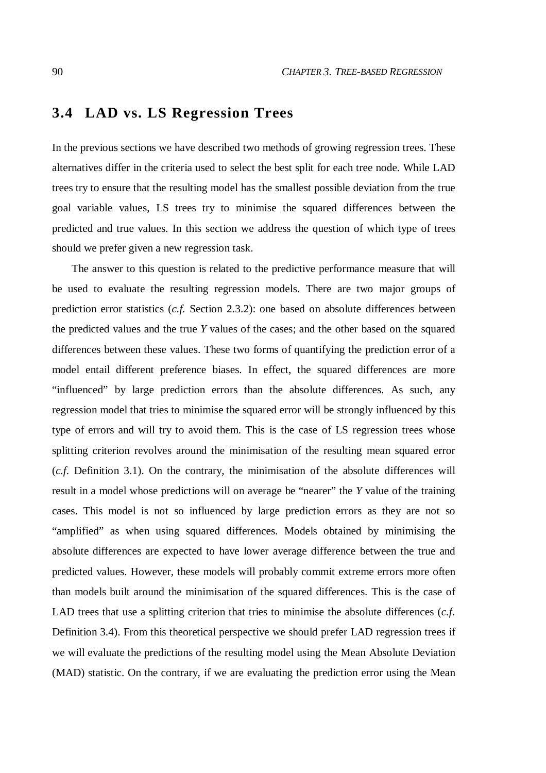# **3.4 LAD vs. LS Regression Trees**

In the previous sections we have described two methods of growing regression trees. These alternatives differ in the criteria used to select the best split for each tree node. While LAD trees try to ensure that the resulting model has the smallest possible deviation from the true goal variable values, LS trees try to minimise the squared differences between the predicted and true values. In this section we address the question of which type of trees should we prefer given a new regression task.

The answer to this question is related to the predictive performance measure that will be used to evaluate the resulting regression models. There are two major groups of prediction error statistics (*c.f.* Section 2.3.2): one based on absolute differences between the predicted values and the true *Y* values of the cases; and the other based on the squared differences between these values. These two forms of quantifying the prediction error of a model entail different preference biases. In effect, the squared differences are more "influenced" by large prediction errors than the absolute differences. As such, any regression model that tries to minimise the squared error will be strongly influenced by this type of errors and will try to avoid them. This is the case of LS regression trees whose splitting criterion revolves around the minimisation of the resulting mean squared error (*c.f.* Definition 3.1). On the contrary, the minimisation of the absolute differences will result in a model whose predictions will on average be "nearer" the *Y* value of the training cases. This model is not so influenced by large prediction errors as they are not so "amplified" as when using squared differences. Models obtained by minimising the absolute differences are expected to have lower average difference between the true and predicted values. However, these models will probably commit extreme errors more often than models built around the minimisation of the squared differences. This is the case of LAD trees that use a splitting criterion that tries to minimise the absolute differences (*c.f.* Definition 3.4). From this theoretical perspective we should prefer LAD regression trees if we will evaluate the predictions of the resulting model using the Mean Absolute Deviation (MAD) statistic. On the contrary, if we are evaluating the prediction error using the Mean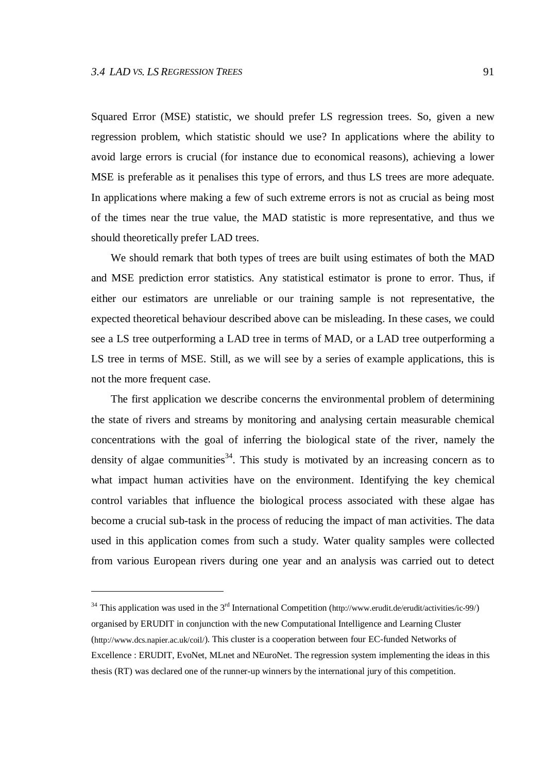$\overline{a}$ 

Squared Error (MSE) statistic, we should prefer LS regression trees. So, given a new regression problem, which statistic should we use? In applications where the ability to avoid large errors is crucial (for instance due to economical reasons), achieving a lower MSE is preferable as it penalises this type of errors, and thus LS trees are more adequate. In applications where making a few of such extreme errors is not as crucial as being most of the times near the true value, the MAD statistic is more representative, and thus we should theoretically prefer LAD trees.

We should remark that both types of trees are built using estimates of both the MAD and MSE prediction error statistics. Any statistical estimator is prone to error. Thus, if either our estimators are unreliable or our training sample is not representative, the expected theoretical behaviour described above can be misleading. In these cases, we could see a LS tree outperforming a LAD tree in terms of MAD, or a LAD tree outperforming a LS tree in terms of MSE. Still, as we will see by a series of example applications, this is not the more frequent case.

The first application we describe concerns the environmental problem of determining the state of rivers and streams by monitoring and analysing certain measurable chemical concentrations with the goal of inferring the biological state of the river, namely the density of algae communities<sup>34</sup>. This study is motivated by an increasing concern as to what impact human activities have on the environment. Identifying the key chemical control variables that influence the biological process associated with these algae has become a crucial sub-task in the process of reducing the impact of man activities. The data used in this application comes from such a study. Water quality samples were collected from various European rivers during one year and an analysis was carried out to detect

 $34$  This application was used in the  $3<sup>rd</sup>$  International Competition (http://www.erudit.de/erudit/activities/ic-99/) organised by ERUDIT in conjunction with the new Computational Intelligence and Learning Cluster (http://www.dcs.napier.ac.uk/coil/). This cluster is a cooperation between four EC-funded Networks of Excellence : ERUDIT, EvoNet, MLnet and NEuroNet. The regression system implementing the ideas in this thesis (RT) was declared one of the runner-up winners by the international jury of this competition.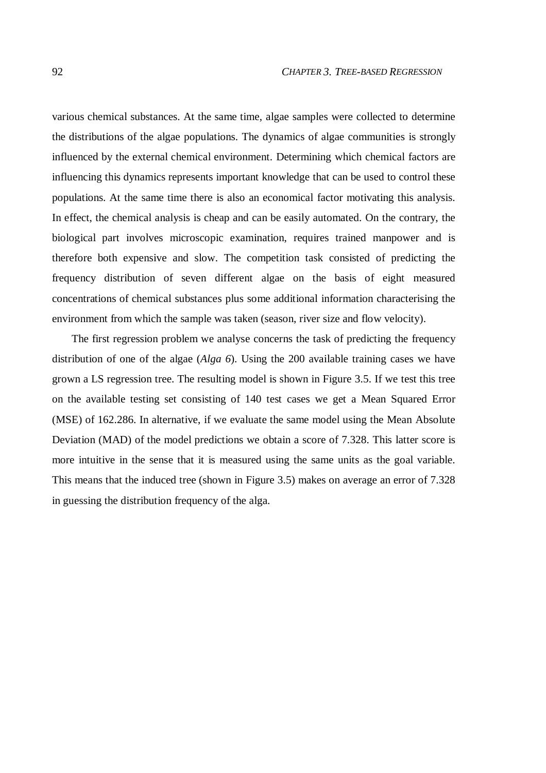various chemical substances. At the same time, algae samples were collected to determine the distributions of the algae populations. The dynamics of algae communities is strongly influenced by the external chemical environment. Determining which chemical factors are influencing this dynamics represents important knowledge that can be used to control these populations. At the same time there is also an economical factor motivating this analysis. In effect, the chemical analysis is cheap and can be easily automated. On the contrary, the biological part involves microscopic examination, requires trained manpower and is therefore both expensive and slow. The competition task consisted of predicting the frequency distribution of seven different algae on the basis of eight measured concentrations of chemical substances plus some additional information characterising the environment from which the sample was taken (season, river size and flow velocity).

The first regression problem we analyse concerns the task of predicting the frequency distribution of one of the algae (*Alga 6*). Using the 200 available training cases we have grown a LS regression tree. The resulting model is shown in Figure 3.5. If we test this tree on the available testing set consisting of 140 test cases we get a Mean Squared Error (MSE) of 162.286. In alternative, if we evaluate the same model using the Mean Absolute Deviation (MAD) of the model predictions we obtain a score of 7.328. This latter score is more intuitive in the sense that it is measured using the same units as the goal variable. This means that the induced tree (shown in Figure 3.5) makes on average an error of 7.328 in guessing the distribution frequency of the alga.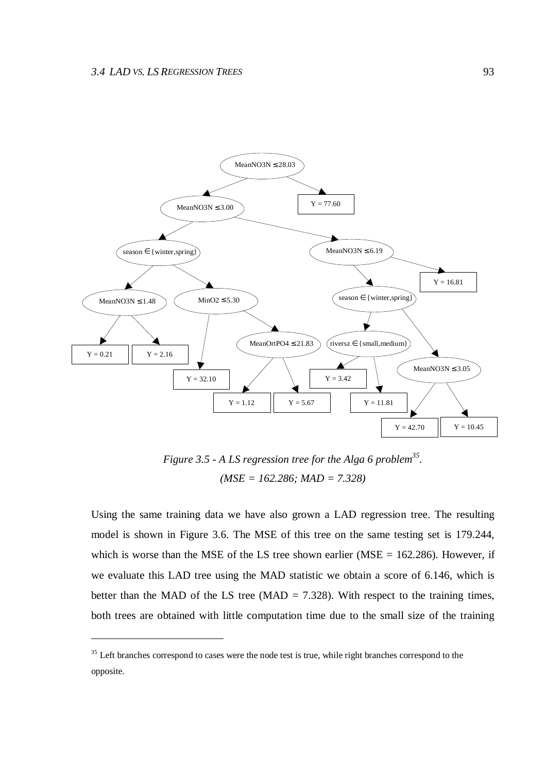$\overline{a}$ 



*Figure 3.5 - A LS regression tree for the Alga 6 problem 35 . (MSE = 162.286; MAD = 7.328)*

Using the same training data we have also grown a LAD regression tree. The resulting model is shown in Figure 3.6. The MSE of this tree on the same testing set is 179.244, which is worse than the MSE of the LS tree shown earlier (MSE  $= 162.286$ ). However, if we evaluate this LAD tree using the MAD statistic we obtain a score of 6.146, which is better than the MAD of the LS tree (MAD =  $7.328$ ). With respect to the training times, both trees are obtained with little computation time due to the small size of the training

<sup>&</sup>lt;sup>35</sup> Left branches correspond to cases were the node test is true, while right branches correspond to the opposite.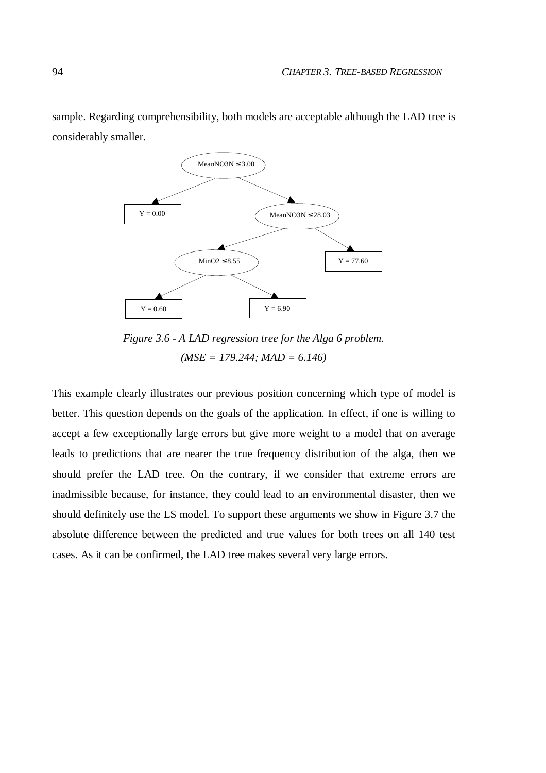sample. Regarding comprehensibility, both models are acceptable although the LAD tree is considerably smaller.



*Figure 3.6 - A LAD regression tree for the Alga 6 problem. (MSE = 179.244; MAD = 6.146)*

This example clearly illustrates our previous position concerning which type of model is better. This question depends on the goals of the application. In effect, if one is willing to accept a few exceptionally large errors but give more weight to a model that on average leads to predictions that are nearer the true frequency distribution of the alga, then we should prefer the LAD tree. On the contrary, if we consider that extreme errors are inadmissible because, for instance, they could lead to an environmental disaster, then we should definitely use the LS model. To support these arguments we show in Figure 3.7 the absolute difference between the predicted and true values for both trees on all 140 test cases. As it can be confirmed, the LAD tree makes several very large errors.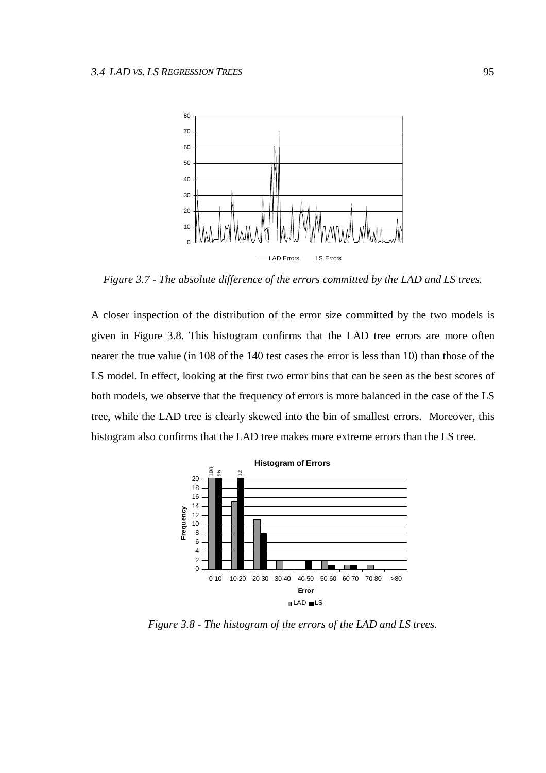

*Figure 3.7 - The absolute difference of the errors committed by the LAD and LS trees.*

A closer inspection of the distribution of the error size committed by the two models is given in Figure 3.8. This histogram confirms that the LAD tree errors are more often nearer the true value (in 108 of the 140 test cases the error is less than 10) than those of the LS model. In effect, looking at the first two error bins that can be seen as the best scores of both models, we observe that the frequency of errors is more balanced in the case of the LS tree, while the LAD tree is clearly skewed into the bin of smallest errors. Moreover, this histogram also confirms that the LAD tree makes more extreme errors than the LS tree.



*Figure 3.8 - The histogram of the errors of the LAD and LS trees.*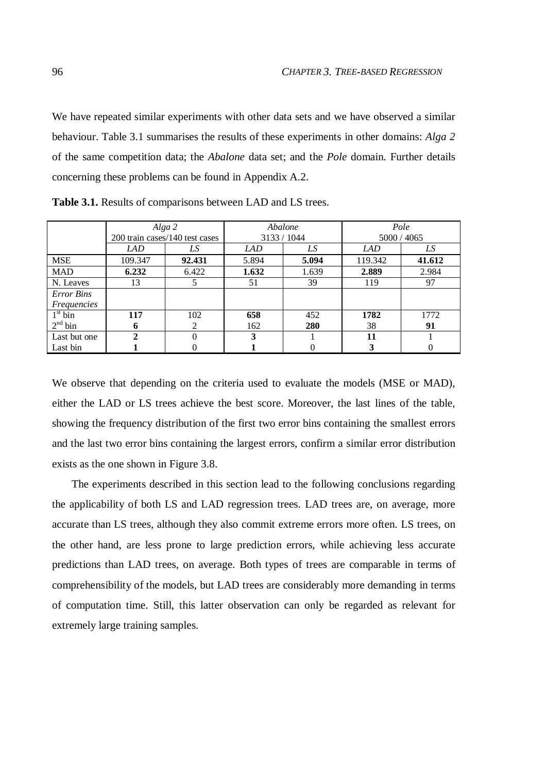We have repeated similar experiments with other data sets and we have observed a similar behaviour. Table 3.1 summarises the results of these experiments in other domains: *Alga 2* of the same competition data; the *Abalone* data set; and the *Pole* domain. Further details concerning these problems can be found in Appendix A.2.

|                     |         | Alga 2<br>200 train cases/140 test cases | Abalone | 3133 / 1044 | Pole<br>5000 / 4065 |        |  |
|---------------------|---------|------------------------------------------|---------|-------------|---------------------|--------|--|
|                     | LAD     | LS                                       | LAD     | LS          | LAD                 | LS     |  |
| <b>MSE</b>          | 109.347 | 92.431                                   | 5.894   | 5.094       | 119.342             | 41.612 |  |
| <b>MAD</b>          | 6.232   | 6.422                                    | 1.632   | 1.639       | 2.889               | 2.984  |  |
| N. Leaves           | 13      |                                          | 51      | 39          | 119                 | 97     |  |
| <b>Error Bins</b>   |         |                                          |         |             |                     |        |  |
| <i>Frequencies</i>  |         |                                          |         |             |                     |        |  |
| 1 <sup>st</sup> bin | 117     | 102                                      | 658     | 452         | 1782                | 1772   |  |
| 2 <sup>nd</sup> bin | 6       | 2                                        | 162     | 280         | 38                  | 91     |  |
| Last but one        |         |                                          |         |             | 11                  |        |  |
| Last bin            |         |                                          |         |             |                     |        |  |

**Table 3.1.** Results of comparisons between LAD and LS trees.

We observe that depending on the criteria used to evaluate the models (MSE or MAD), either the LAD or LS trees achieve the best score. Moreover, the last lines of the table, showing the frequency distribution of the first two error bins containing the smallest errors and the last two error bins containing the largest errors, confirm a similar error distribution exists as the one shown in Figure 3.8.

The experiments described in this section lead to the following conclusions regarding the applicability of both LS and LAD regression trees. LAD trees are, on average, more accurate than LS trees, although they also commit extreme errors more often. LS trees, on the other hand, are less prone to large prediction errors, while achieving less accurate predictions than LAD trees, on average. Both types of trees are comparable in terms of comprehensibility of the models, but LAD trees are considerably more demanding in terms of computation time. Still, this latter observation can only be regarded as relevant for extremely large training samples.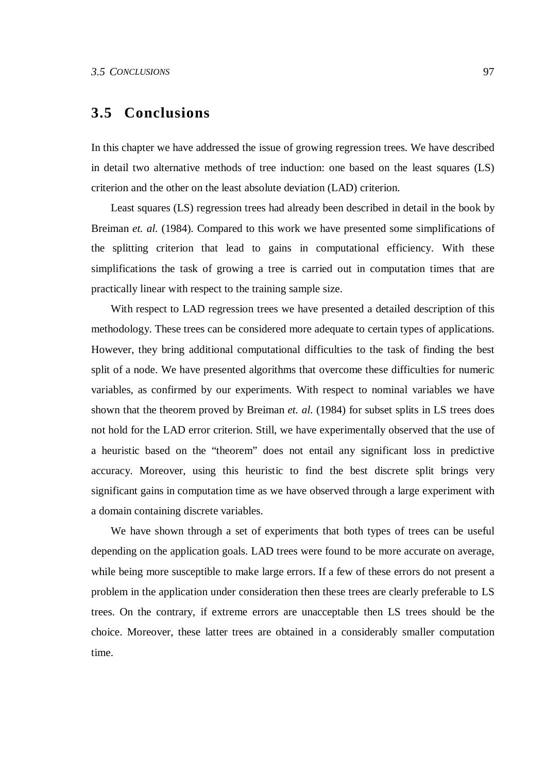# **3.5 Conclusions**

In this chapter we have addressed the issue of growing regression trees. We have described in detail two alternative methods of tree induction: one based on the least squares (LS) criterion and the other on the least absolute deviation (LAD) criterion.

Least squares (LS) regression trees had already been described in detail in the book by Breiman *et. al.* (1984). Compared to this work we have presented some simplifications of the splitting criterion that lead to gains in computational efficiency. With these simplifications the task of growing a tree is carried out in computation times that are practically linear with respect to the training sample size.

With respect to LAD regression trees we have presented a detailed description of this methodology. These trees can be considered more adequate to certain types of applications. However, they bring additional computational difficulties to the task of finding the best split of a node. We have presented algorithms that overcome these difficulties for numeric variables, as confirmed by our experiments. With respect to nominal variables we have shown that the theorem proved by Breiman *et. al.* (1984) for subset splits in LS trees does not hold for the LAD error criterion. Still, we have experimentally observed that the use of a heuristic based on the "theorem" does not entail any significant loss in predictive accuracy. Moreover, using this heuristic to find the best discrete split brings very significant gains in computation time as we have observed through a large experiment with a domain containing discrete variables.

We have shown through a set of experiments that both types of trees can be useful depending on the application goals. LAD trees were found to be more accurate on average, while being more susceptible to make large errors. If a few of these errors do not present a problem in the application under consideration then these trees are clearly preferable to LS trees. On the contrary, if extreme errors are unacceptable then LS trees should be the choice. Moreover, these latter trees are obtained in a considerably smaller computation time.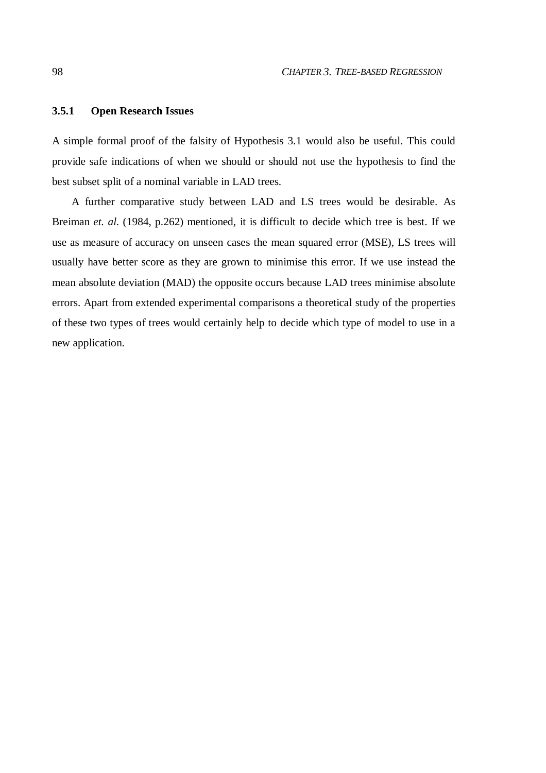## **3.5.1 Open Research Issues**

A simple formal proof of the falsity of Hypothesis 3.1 would also be useful. This could provide safe indications of when we should or should not use the hypothesis to find the best subset split of a nominal variable in LAD trees.

A further comparative study between LAD and LS trees would be desirable. As Breiman *et. al.* (1984, p.262) mentioned, it is difficult to decide which tree is best. If we use as measure of accuracy on unseen cases the mean squared error (MSE), LS trees will usually have better score as they are grown to minimise this error. If we use instead the mean absolute deviation (MAD) the opposite occurs because LAD trees minimise absolute errors. Apart from extended experimental comparisons a theoretical study of the properties of these two types of trees would certainly help to decide which type of model to use in a new application.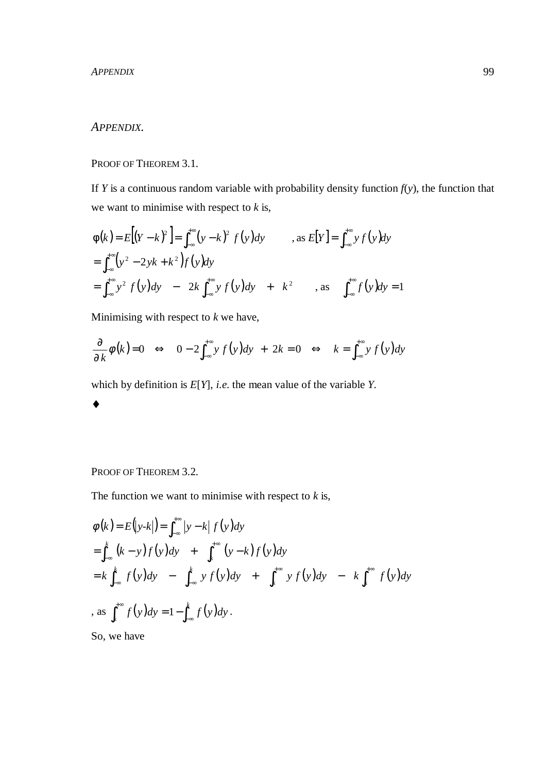## *APPENDIX.*

PROOF OF THEOREM 3.1.

If *Y* is a continuous random variable with probability density function  $f(y)$ , the function that we want to minimise with respect to *k* is,

$$
\begin{aligned}\n\phi(k) &= E\big[(Y-k)^2\big] = \int_{-\infty}^{+\infty} (y-k)^2 f(y) \, dy & \text{as } E[Y] = \int_{-\infty}^{+\infty} y f(y) \, dy \\
&= \int_{-\infty}^{+\infty} (y^2 - 2yk + k^2) f(y) \, dy \\
&= \int_{-\infty}^{+\infty} y^2 f(y) \, dy - 2k \int_{-\infty}^{+\infty} y f(y) \, dy + k^2 & \text{as } \int_{-\infty}^{+\infty} f(y) \, dy = 1\n\end{aligned}
$$

Minimising with respect to *k* we have,

$$
\frac{\partial}{\partial k}\phi(k)=0 \Leftrightarrow 0-2\int_{-\infty}^{+\infty} y f(y) dy + 2k = 0 \Leftrightarrow k = \int_{-\infty}^{+\infty} y f(y) dy
$$

which by definition is *E*[*Y*], *i.e.* the mean value of the variable *Y*.



PROOF OF THEOREM 3.2.

The function we want to minimise with respect to  $k$  is,

$$
\begin{aligned}\n\phi(k) &= E\big(y-k\big)\big) = \int_{-\infty}^{+\infty} \big|y-k\big| f\big(y\big) dy \\
&= \int_{-\infty}^{k} (k-y)f\big(y\big) dy + \int_{k}^{+\infty} (y-k)f\big(y\big) dy \\
&= k \int_{-\infty}^{k} f\big(y\big) dy - \int_{-\infty}^{k} yf\big(y\big) dy + \int_{k}^{+\infty} yf\big(y\big) dy - k \int_{k}^{+\infty} f\big(y\big) dy \\
\text{as } \int_{k}^{+\infty} f\big(y\big) dy = 1 - \int_{-\infty}^{k} f\big(y\big) dy.\n\end{aligned}
$$

So, we have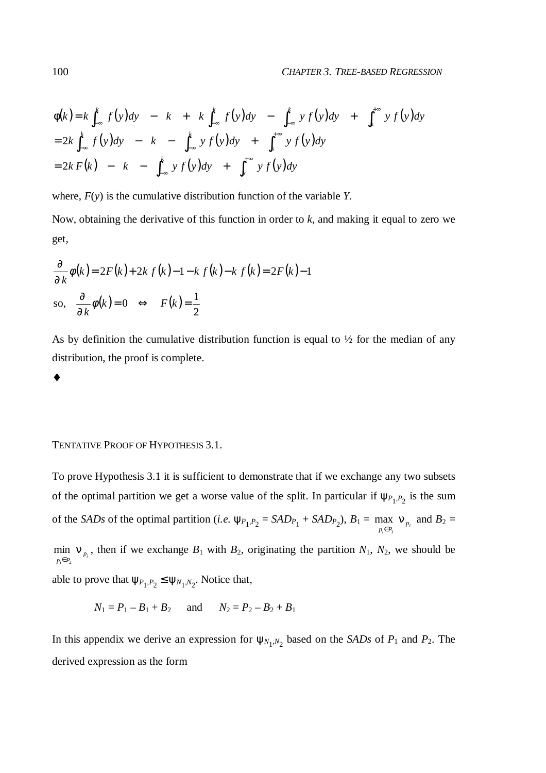$$
\phi(k) = k \int_{-\infty}^{k} f(y) dy - k + k \int_{-\infty}^{k} f(y) dy - \int_{-\infty}^{k} y f(y) dy + \int_{k}^{+\infty} y f(y) dy
$$
  
= 2k  $\int_{-\infty}^{k} f(y) dy - k - \int_{-\infty}^{k} y f(y) dy + \int_{k}^{+\infty} y f(y) dy$   
= 2k  $F(k) - k - \int_{-\infty}^{k} y f(y) dy + \int_{k}^{+\infty} y f(y) dy$ 

where, *F*(*y*) is the cumulative distribution function of the variable *Y*.

Now, obtaining the derivative of this function in order to *k*, and making it equal to zero we get,

$$
\frac{\partial}{\partial k}\phi(k) = 2F(k) + 2kf(k) - 1 - kf(k) - kf(k) = 2F(k) - 1
$$
  
so, 
$$
\frac{\partial}{\partial k}\phi(k) = 0 \iff F(k) = \frac{1}{2}
$$

As by definition the cumulative distribution function is equal to  $\frac{1}{2}$  for the median of any distribution, the proof is complete.

♦

#### TENTATIVE PROOF OF HYPOTHESIS 3.1.

To prove Hypothesis 3.1 it is sufficient to demonstrate that if we exchange any two subsets of the optimal partition we get a worse value of the split. In particular if  $\psi_{P_1,P_2}$  is the sum of the *SADs* of the optimal partition (*i.e.*  $\psi_{P_1,P_2} = SAD_{P_1} + SAD_{P_2}$ ),  $B_1 = \max_{p_i \in P_1} \nu_{P_i}$  $p_i \in P_1$  *v p* ν  $\in P_1$ max  $v_{p_1}$  and  $B_2 =$ 

 $i \in P_2$ <sup> $P_i$ </sup>  $\lim_{p_i \in P_2}$  **v** *p* ν  $\in P_2$ min  $v_{p}$ , then if we exchange  $B_1$  with  $B_2$ , originating the partition  $N_1$ ,  $N_2$ , we should be

able to prove that  $\psi_{P_1, P_2} \leq \psi_{N_1, N_2}$ . Notice that,

$$
N_1 = P_1 - B_1 + B_2
$$
 and  $N_2 = P_2 - B_2 + B_1$ 

In this appendix we derive an expression for  $\psi_{N_1,N_2}$  based on the *SADs* of  $P_1$  and  $P_2$ . The derived expression as the form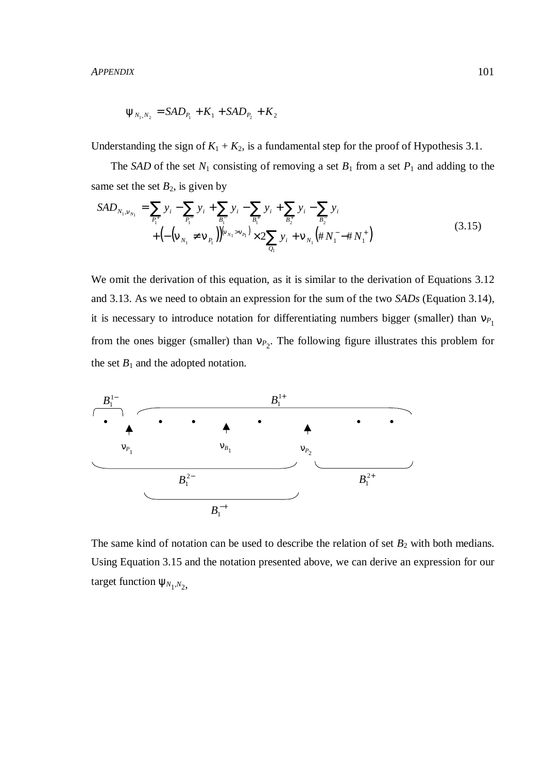*APPENDIX* 101

$$
\Psi_{N_1,N_2} = SAD_{P_1} + K_1 + SAD_{P_2} + K_2
$$

Understanding the sign of  $K_1 + K_2$ , is a fundamental step for the proof of Hypothesis 3.1.

The *SAD* of the set  $N_1$  consisting of removing a set  $B_1$  from a set  $P_1$  and adding to the same set the set  $B_2$ , is given by

$$
SAD_{N_1, v_{N_1}} = \sum_{P_1^+} y_i - \sum_{P_1^-} y_i + \sum_{B_1^-} y_i - \sum_{B_1^+} y_i + \sum_{B_2^+} y_i - \sum_{B_2^-} y_i
$$
  
+ 
$$
\left( -\left( v_{N_1} \neq v_{P_1} \right) \right) \left( v_{N_1} > v_{P_1} \right) \times 2 \sum_{Q_1} y_i + v_{N_1} \left( \# N_1^- - \# N_1^+ \right)
$$
(3.15)

We omit the derivation of this equation, as it is similar to the derivation of Equations 3.12 and 3.13. As we need to obtain an expression for the sum of the two *SADs* (Equation 3.14), it is necessary to introduce notation for differentiating numbers bigger (smaller) than  $v_{P_1}$ from the ones bigger (smaller) than  $v_{P_2}$ . The following figure illustrates this problem for the set  $B_1$  and the adopted notation.



The same kind of notation can be used to describe the relation of set  $B_2$  with both medians. Using Equation 3.15 and the notation presented above, we can derive an expression for our target function  $\psi_{N_1,N_2}$ ,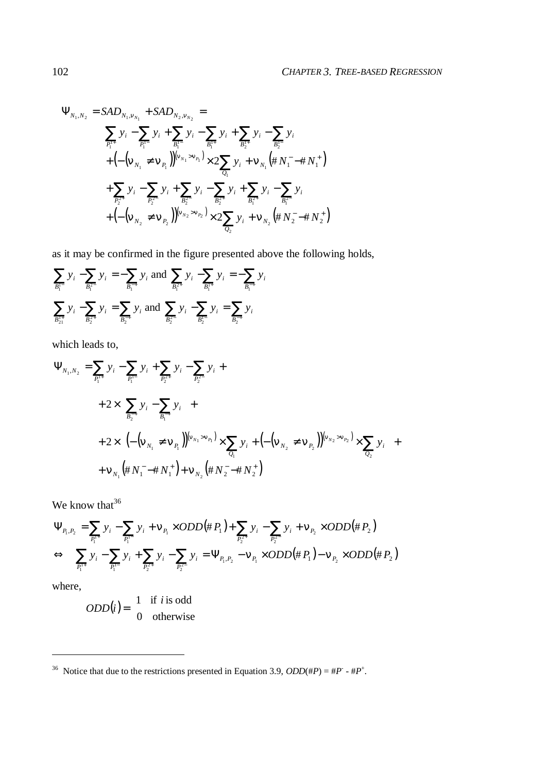$$
\Psi_{N_1,N_2} = SAD_{N_1,V_{N_1}} + SAD_{N_2,V_{N_2}} =
$$
\n
$$
\sum_{P_1^{i+}} y_i - \sum_{P_1^{i-}} y_i + \sum_{B_1^{i-}} y_i - \sum_{B_1^{i+}} y_i + \sum_{B_2^{i+}} y_i - \sum_{B_2^{i-}} y_i
$$
\n
$$
+ \left( -\left( v_{N_1} \neq v_{P_1} \right) \right)^{\left( v_{N_1} > v_{P_1} \right)} \times 2 \sum_{Q_1} y_i + v_{N_1} \left( \# N_1^- \right) + \sum_{P_2^{2+}} y_i - \sum_{P_2^{2-}} y_i + \sum_{B_2^{2+}} y_i - \sum_{B_2^{2+}} y_i + \sum_{B_1^{2+}} y_i - \sum_{B_1^{2-}} y_i
$$
\n
$$
+ \left( -\left( v_{N_2} \neq v_{P_2} \right) \right)^{\left( v_{N_2} > v_{P_2} \right)} \times 2 \sum_{Q_2} y_i + v_{N_2} \left( \# N_2^- \right) + N_2^+)
$$

as it may be confirmed in the figure presented above the following holds,

$$
\sum_{B_i^{1-}} y_i - \sum_{B_i^{2-}} y_i = -\sum_{B_i^{-+}} y_i \text{ and } \sum_{B_i^{2+}} y_i - \sum_{B_i^{1+}} y_i = -\sum_{B_i^{-+}} y_i
$$
  

$$
\sum_{B_{21}^{1+}} y_i - \sum_{B_2^{2+}} y_i = \sum_{B_2^{-+}} y_i \text{ and } \sum_{B_2^{2-}} y_i - \sum_{B_2^{1-}} y_i = \sum_{B_2^{-+}} y_i
$$

which leads to,

$$
\Psi_{N_1, N_2} = \sum_{P_1^{1+}} y_i - \sum_{P_1^{1-}} y_i + \sum_{P_2^{2+}} y_i - \sum_{P_2^{2+}} y_i +
$$
  
+  $2 \times \left( \sum_{B_2^{-+}} y_i - \sum_{B_1^{-+}} y_i \right) +$   
+  $2 \times \left( \left( - \left( v_{N_1} \neq v_{P_1} \right) \right) \left( v_{N_1} > v_{P_1} \right) \times \sum_{Q_1} y_i + \left( - \left( v_{N_2} \neq v_{P_2} \right) \right) \left( v_{N_2} > v_{P_2} \right) \times \sum_{Q_2} y_i \right) +$   
+  $V_{N_1} \left( \# N_1^- - \# N_1^+ \right) + V_{N_2} \left( \# N_2^- - \# N_2^+ \right)$ 

We know that<sup>36</sup>

$$
\Psi_{P_1, P_2} = \sum_{P_1^{1+}} y_i - \sum_{P_1^{1-}} y_i + \nu_{P_1} \times ODD(\# P_1) + \sum_{P_2^{2+}} y_i - \sum_{P_2^{2-}} y_i + \nu_{P_2} \times ODD(\# P_2)
$$
  
\n
$$
\Leftrightarrow \sum_{P_1^{1+}} y_i - \sum_{P_1^{1-}} y_i + \sum_{P_2^{2+}} y_i - \sum_{P_2^{2-}} y_i = \Psi_{P_1, P_2} - \nu_{P_1} \times ODD(\# P_1) - \nu_{P_2} \times ODD(\# P_2)
$$

where,

 $\overline{a}$ 

$$
ODD(i) = \begin{cases} 1 & \text{if } i \text{ is odd} \\ 0 & \text{otherwise} \end{cases}
$$

<sup>&</sup>lt;sup>36</sup> Notice that due to the restrictions presented in Equation 3.9,  $ODD(\#P) = \#P^* - \#P^*$ .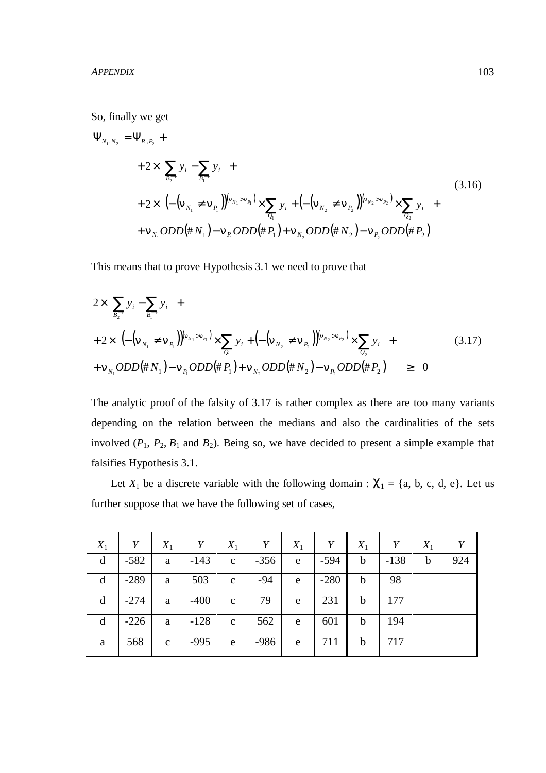So, finally we get

$$
\Psi_{N_1,N_2} = \Psi_{P_1,P_2} ++ 2 \times \left( \sum_{B_2^{-+}} y_i - \sum_{B_1^{-+}} y_i \right) ++ 2 \times \left( \left( - \left( v_{N_1} \neq v_{P_1} \right) \right)^{\left( v_{N_1} > v_{P_1} \right)} \times \sum_{Q_1} y_i + \left( - \left( v_{N_2} \neq v_{P_2} \right) \right)^{\left( v_{N_2} > v_{P_2} \right)} \times \sum_{Q_2} y_i \right) ++ v_{N_1} ODD(\# N_1) - v_{P_1} ODD(\# P_1) + v_{N_2} ODD(\# N_2) - v_{P_2} ODD(\# P_2)
$$
\n(3.16)

This means that to prove Hypothesis 3.1 we need to prove that

$$
2 \times \left( \sum_{B_{2}^{+}} y_{i} - \sum_{B_{1}^{+}} y_{i} \right) +
$$
  
+ 
$$
2 \times \left( \left( -\left( v_{N_{1}} \neq v_{P_{1}} \right) \right) \left( v_{N_{1}} > v_{P_{1}} \right) \times \sum_{Q_{1}} y_{i} + \left( -\left( v_{N_{2}} \neq v_{P_{2}} \right) \right) \left( v_{N_{2}} > v_{P_{2}} \right) \times \sum_{Q_{2}} y_{i} \right) +
$$
  
+ 
$$
v_{N_{1}} ODD(\# N_{1}) - v_{P_{1}} ODD(\# P_{1}) + v_{N_{2}} ODD(\# N_{2}) - v_{P_{2}} ODD(\# P_{2}) \ge 0
$$
 (3.17)

The analytic proof of the falsity of 3.17 is rather complex as there are too many variants depending on the relation between the medians and also the cardinalities of the sets involved  $(P_1, P_2, B_1 \text{ and } B_2)$ . Being so, we have decided to present a simple example that falsifies Hypothesis 3.1.

Let  $X_1$  be a discrete variable with the following domain :  $\chi_1 = \{a, b, c, d, e\}$ . Let us further suppose that we have the following set of cases,

| $X_1$ | Y      | $X_1$        | Y      | $X_1$        | Y      | $X_1$ | Y      | $X_1$       | Y      | $X_1$       | Y   |
|-------|--------|--------------|--------|--------------|--------|-------|--------|-------------|--------|-------------|-----|
| d     | $-582$ | a            | $-143$ | $\mathbf{C}$ | $-356$ | e     | $-594$ | $\mathbf b$ | $-138$ | $\mathbf b$ | 924 |
| d     | $-289$ | a            | 503    | $\mathbf{c}$ | $-94$  | e     | $-280$ | b           | 98     |             |     |
| d     | $-274$ | a            | $-400$ | $\mathbf{c}$ | 79     | e     | 231    | b           | 177    |             |     |
| d     | $-226$ | a            | $-128$ | $\mathbf{c}$ | 562    | e     | 601    | b           | 194    |             |     |
| a     | 568    | $\mathbf{C}$ | $-995$ | e            | $-986$ | e     | 711    | b           | 717    |             |     |